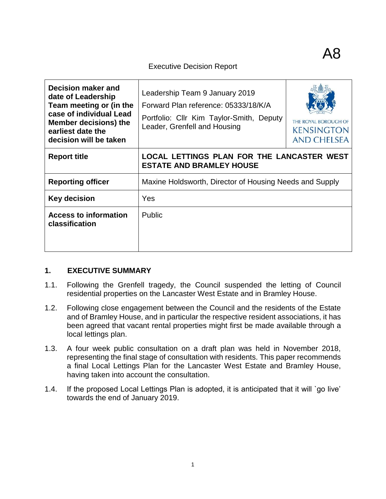## Executive Decision Report

| Decision maker and<br>date of Leadership<br>Team meeting or (in the<br>case of individual Lead<br><b>Member decisions) the</b><br>earliest date the<br>decision will be taken | Leadership Team 9 January 2019<br>Forward Plan reference: 05333/18/K/A<br>Portfolio: Cllr Kim Taylor-Smith, Deputy<br>Leader, Grenfell and Housing | THE ROYAL BOROUGH OF<br><b>KENSINGTON</b><br><b>AND CHELSEA</b> |  |  |
|-------------------------------------------------------------------------------------------------------------------------------------------------------------------------------|----------------------------------------------------------------------------------------------------------------------------------------------------|-----------------------------------------------------------------|--|--|
| <b>Report title</b>                                                                                                                                                           | LOCAL LETTINGS PLAN FOR THE LANCASTER WEST<br><b>ESTATE AND BRAMLEY HOUSE</b>                                                                      |                                                                 |  |  |
| <b>Reporting officer</b>                                                                                                                                                      | Maxine Holdsworth, Director of Housing Needs and Supply                                                                                            |                                                                 |  |  |
| Key decision                                                                                                                                                                  | Yes                                                                                                                                                |                                                                 |  |  |
| <b>Access to information</b><br>classification                                                                                                                                | <b>Public</b>                                                                                                                                      |                                                                 |  |  |

## **1. EXECUTIVE SUMMARY**

- 1.1. Following the Grenfell tragedy, the Council suspended the letting of Council residential properties on the Lancaster West Estate and in Bramley House.
- 1.2. Following close engagement between the Council and the residents of the Estate and of Bramley House, and in particular the respective resident associations, it has been agreed that vacant rental properties might first be made available through a local lettings plan.
- 1.3. A four week public consultation on a draft plan was held in November 2018, representing the final stage of consultation with residents. This paper recommends a final Local Lettings Plan for the Lancaster West Estate and Bramley House, having taken into account the consultation.
- 1.4. If the proposed Local Lettings Plan is adopted, it is anticipated that it will `go live' towards the end of January 2019.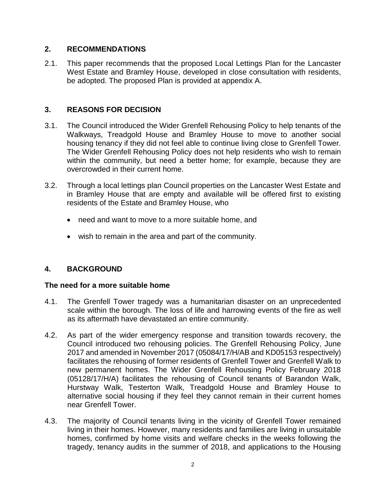## **2. RECOMMENDATIONS**

2.1. This paper recommends that the proposed Local Lettings Plan for the Lancaster West Estate and Bramley House, developed in close consultation with residents, be adopted. The proposed Plan is provided at appendix A.

## **3. REASONS FOR DECISION**

- 3.1. The Council introduced the Wider Grenfell Rehousing Policy to help tenants of the Walkways, Treadgold House and Bramley House to move to another social housing tenancy if they did not feel able to continue living close to Grenfell Tower. The Wider Grenfell Rehousing Policy does not help residents who wish to remain within the community, but need a better home; for example, because they are overcrowded in their current home.
- 3.2. Through a local lettings plan Council properties on the Lancaster West Estate and in Bramley House that are empty and available will be offered first to existing residents of the Estate and Bramley House, who
	- need and want to move to a more suitable home. and
	- wish to remain in the area and part of the community.

## **4. BACKGROUND**

## **The need for a more suitable home**

- 4.1. The Grenfell Tower tragedy was a humanitarian disaster on an unprecedented scale within the borough. The loss of life and harrowing events of the fire as well as its aftermath have devastated an entire community.
- 4.2. As part of the wider emergency response and transition towards recovery, the Council introduced two rehousing policies. The Grenfell Rehousing Policy, June 2017 and amended in November 2017 (05084/17/H/AB and KD05153 respectively) facilitates the rehousing of former residents of Grenfell Tower and Grenfell Walk to new permanent homes. The Wider Grenfell Rehousing Policy February 2018 (05128/17/H/A) facilitates the rehousing of Council tenants of Barandon Walk, Hurstway Walk, Testerton Walk, Treadgold House and Bramley House to alternative social housing if they feel they cannot remain in their current homes near Grenfell Tower.
- 4.3. The majority of Council tenants living in the vicinity of Grenfell Tower remained living in their homes. However, many residents and families are living in unsuitable homes, confirmed by home visits and welfare checks in the weeks following the tragedy, tenancy audits in the summer of 2018, and applications to the Housing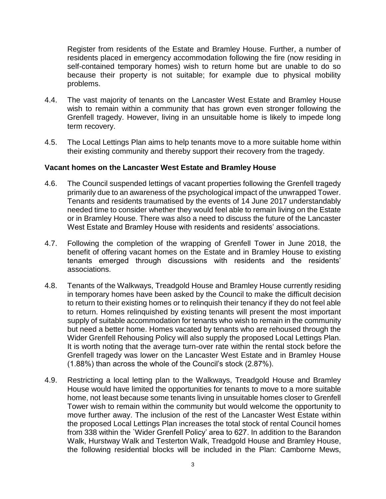Register from residents of the Estate and Bramley House. Further, a number of residents placed in emergency accommodation following the fire (now residing in self-contained temporary homes) wish to return home but are unable to do so because their property is not suitable; for example due to physical mobility problems.

- 4.4. The vast majority of tenants on the Lancaster West Estate and Bramley House wish to remain within a community that has grown even stronger following the Grenfell tragedy. However, living in an unsuitable home is likely to impede long term recovery.
- 4.5. The Local Lettings Plan aims to help tenants move to a more suitable home within their existing community and thereby support their recovery from the tragedy.

#### **Vacant homes on the Lancaster West Estate and Bramley House**

- 4.6. The Council suspended lettings of vacant properties following the Grenfell tragedy primarily due to an awareness of the psychological impact of the unwrapped Tower. Tenants and residents traumatised by the events of 14 June 2017 understandably needed time to consider whether they would feel able to remain living on the Estate or in Bramley House. There was also a need to discuss the future of the Lancaster West Estate and Bramley House with residents and residents' associations.
- 4.7. Following the completion of the wrapping of Grenfell Tower in June 2018, the benefit of offering vacant homes on the Estate and in Bramley House to existing tenants emerged through discussions with residents and the residents' associations.
- 4.8. Tenants of the Walkways, Treadgold House and Bramley House currently residing in temporary homes have been asked by the Council to make the difficult decision to return to their existing homes or to relinquish their tenancy if they do not feel able to return. Homes relinquished by existing tenants will present the most important supply of suitable accommodation for tenants who wish to remain in the community but need a better home. Homes vacated by tenants who are rehoused through the Wider Grenfell Rehousing Policy will also supply the proposed Local Lettings Plan. It is worth noting that the average turn-over rate within the rental stock before the Grenfell tragedy was lower on the Lancaster West Estate and in Bramley House (1.88%) than across the whole of the Council's stock (2.87%).
- 4.9. Restricting a local letting plan to the Walkways, Treadgold House and Bramley House would have limited the opportunities for tenants to move to a more suitable home, not least because some tenants living in unsuitable homes closer to Grenfell Tower wish to remain within the community but would welcome the opportunity to move further away. The inclusion of the rest of the Lancaster West Estate within the proposed Local Lettings Plan increases the total stock of rental Council homes from 338 within the `Wider Grenfell Policy' area to 627. In addition to the Barandon Walk, Hurstway Walk and Testerton Walk, Treadgold House and Bramley House, the following residential blocks will be included in the Plan: Camborne Mews,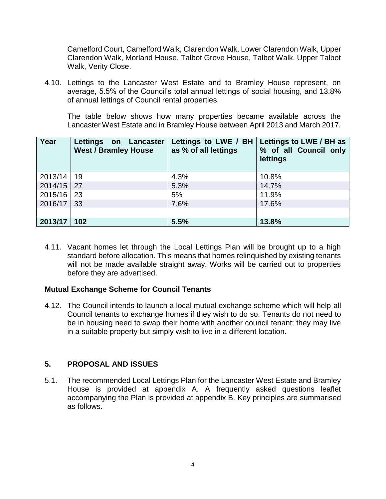Camelford Court, Camelford Walk, Clarendon Walk, Lower Clarendon Walk, Upper Clarendon Walk, Morland House, Talbot Grove House, Talbot Walk, Upper Talbot Walk, Verity Close.

4.10. Lettings to the Lancaster West Estate and to Bramley House represent, on average, 5.5% of the Council's total annual lettings of social housing, and 13.8% of annual lettings of Council rental properties.

The table below shows how many properties became available across the Lancaster West Estate and in Bramley House between April 2013 and March 2017.

| Year    | Lettings on Lancaster<br><b>West / Bramley House</b> | Lettings to LWE / BH<br>as % of all lettings | Lettings to LWE / BH as<br>% of all Council only<br>lettings |
|---------|------------------------------------------------------|----------------------------------------------|--------------------------------------------------------------|
| 2013/14 | 19                                                   | 4.3%                                         | 10.8%                                                        |
| 2014/15 | 27                                                   | 5.3%                                         | 14.7%                                                        |
| 2015/16 | 23                                                   | 5%                                           | 11.9%                                                        |
| 2016/17 | 33                                                   | 7.6%                                         | 17.6%                                                        |
|         |                                                      |                                              |                                                              |
| 2013/17 | 102                                                  | 5.5%                                         | 13.8%                                                        |

4.11. Vacant homes let through the Local Lettings Plan will be brought up to a high standard before allocation. This means that homes relinquished by existing tenants will not be made available straight away. Works will be carried out to properties before they are advertised.

## **Mutual Exchange Scheme for Council Tenants**

4.12. The Council intends to launch a local mutual exchange scheme which will help all Council tenants to exchange homes if they wish to do so. Tenants do not need to be in housing need to swap their home with another council tenant; they may live in a suitable property but simply wish to live in a different location.

## **5. PROPOSAL AND ISSUES**

5.1. The recommended Local Lettings Plan for the Lancaster West Estate and Bramley House is provided at appendix A. A frequently asked questions leaflet accompanying the Plan is provided at appendix B. Key principles are summarised as follows.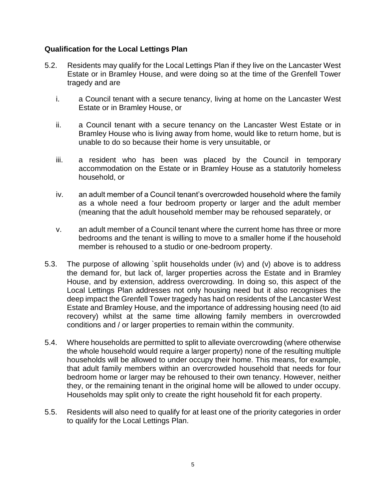## **Qualification for the Local Lettings Plan**

- 5.2. Residents may qualify for the Local Lettings Plan if they live on the Lancaster West Estate or in Bramley House, and were doing so at the time of the Grenfell Tower tragedy and are
	- i. a Council tenant with a secure tenancy, living at home on the Lancaster West Estate or in Bramley House, or
	- ii. a Council tenant with a secure tenancy on the Lancaster West Estate or in Bramley House who is living away from home, would like to return home, but is unable to do so because their home is very unsuitable, or
	- iii. a resident who has been was placed by the Council in temporary accommodation on the Estate or in Bramley House as a statutorily homeless household, or
	- iv. an adult member of a Council tenant's overcrowded household where the family as a whole need a four bedroom property or larger and the adult member (meaning that the adult household member may be rehoused separately, or
	- v. an adult member of a Council tenant where the current home has three or more bedrooms and the tenant is willing to move to a smaller home if the household member is rehoused to a studio or one-bedroom property.
- 5.3. The purpose of allowing `split households under (iv) and (v) above is to address the demand for, but lack of, larger properties across the Estate and in Bramley House, and by extension, address overcrowding. In doing so, this aspect of the Local Lettings Plan addresses not only housing need but it also recognises the deep impact the Grenfell Tower tragedy has had on residents of the Lancaster West Estate and Bramley House, and the importance of addressing housing need (to aid recovery) whilst at the same time allowing family members in overcrowded conditions and / or larger properties to remain within the community.
- 5.4. Where households are permitted to split to alleviate overcrowding (where otherwise the whole household would require a larger property) none of the resulting multiple households will be allowed to under occupy their home. This means, for example, that adult family members within an overcrowded household that needs for four bedroom home or larger may be rehoused to their own tenancy. However, neither they, or the remaining tenant in the original home will be allowed to under occupy. Households may split only to create the right household fit for each property.
- 5.5. Residents will also need to qualify for at least one of the priority categories in order to qualify for the Local Lettings Plan.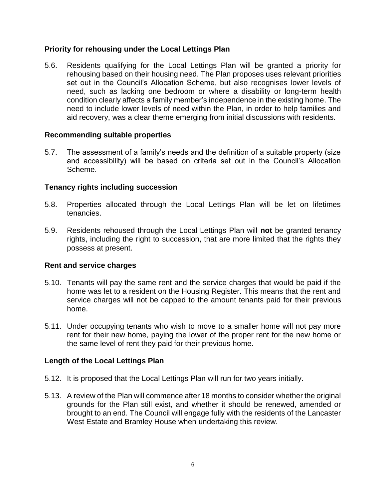## **Priority for rehousing under the Local Lettings Plan**

5.6. Residents qualifying for the Local Lettings Plan will be granted a priority for rehousing based on their housing need. The Plan proposes uses relevant priorities set out in the Council's Allocation Scheme, but also recognises lower levels of need, such as lacking one bedroom or where a disability or long-term health condition clearly affects a family member's independence in the existing home. The need to include lower levels of need within the Plan, in order to help families and aid recovery, was a clear theme emerging from initial discussions with residents.

#### **Recommending suitable properties**

5.7. The assessment of a family's needs and the definition of a suitable property (size and accessibility) will be based on criteria set out in the Council's Allocation Scheme.

## **Tenancy rights including succession**

- 5.8. Properties allocated through the Local Lettings Plan will be let on lifetimes tenancies.
- 5.9. Residents rehoused through the Local Lettings Plan will **not** be granted tenancy rights, including the right to succession, that are more limited that the rights they possess at present.

## **Rent and service charges**

- 5.10. Tenants will pay the same rent and the service charges that would be paid if the home was let to a resident on the Housing Register. This means that the rent and service charges will not be capped to the amount tenants paid for their previous home.
- 5.11. Under occupying tenants who wish to move to a smaller home will not pay more rent for their new home, paying the lower of the proper rent for the new home or the same level of rent they paid for their previous home.

## **Length of the Local Lettings Plan**

- 5.12. It is proposed that the Local Lettings Plan will run for two years initially.
- 5.13. A review of the Plan will commence after 18 months to consider whether the original grounds for the Plan still exist, and whether it should be renewed, amended or brought to an end. The Council will engage fully with the residents of the Lancaster West Estate and Bramley House when undertaking this review.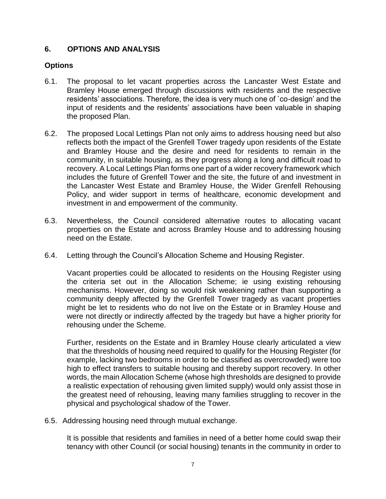## **6. OPTIONS AND ANALYSIS**

## **Options**

- 6.1. The proposal to let vacant properties across the Lancaster West Estate and Bramley House emerged through discussions with residents and the respective residents' associations. Therefore, the idea is very much one of `co-design' and the input of residents and the residents' associations have been valuable in shaping the proposed Plan.
- 6.2. The proposed Local Lettings Plan not only aims to address housing need but also reflects both the impact of the Grenfell Tower tragedy upon residents of the Estate and Bramley House and the desire and need for residents to remain in the community, in suitable housing, as they progress along a long and difficult road to recovery. A Local Lettings Plan forms one part of a wider recovery framework which includes the future of Grenfell Tower and the site, the future of and investment in the Lancaster West Estate and Bramley House, the Wider Grenfell Rehousing Policy, and wider support in terms of healthcare, economic development and investment in and empowerment of the community.
- 6.3. Nevertheless, the Council considered alternative routes to allocating vacant properties on the Estate and across Bramley House and to addressing housing need on the Estate.
- 6.4. Letting through the Council's Allocation Scheme and Housing Register.

Vacant properties could be allocated to residents on the Housing Register using the criteria set out in the Allocation Scheme; ie using existing rehousing mechanisms. However, doing so would risk weakening rather than supporting a community deeply affected by the Grenfell Tower tragedy as vacant properties might be let to residents who do not live on the Estate or in Bramley House and were not directly or indirectly affected by the tragedy but have a higher priority for rehousing under the Scheme.

Further, residents on the Estate and in Bramley House clearly articulated a view that the thresholds of housing need required to qualify for the Housing Register (for example, lacking two bedrooms in order to be classified as overcrowded) were too high to effect transfers to suitable housing and thereby support recovery. In other words, the main Allocation Scheme (whose high thresholds are designed to provide a realistic expectation of rehousing given limited supply) would only assist those in the greatest need of rehousing, leaving many families struggling to recover in the physical and psychological shadow of the Tower.

6.5. Addressing housing need through mutual exchange.

It is possible that residents and families in need of a better home could swap their tenancy with other Council (or social housing) tenants in the community in order to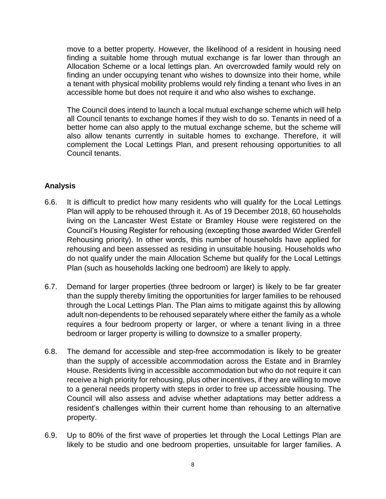move to a better property. However, the likelihood of a resident in housing need finding a suitable home through mutual exchange is far lower than through an Allocation Scheme or a local lettings plan. An overcrowded family would rely on finding an under occupying tenant who wishes to downsize into their home, while a tenant with physical mobility problems would rely finding a tenant who lives in an accessible home but does not require it and who also wishes to exchange.

The Council does intend to launch a local mutual exchange scheme which will help all Council tenants to exchange homes if they wish to do so. Tenants in need of a better home can also apply to the mutual exchange scheme, but the scheme will also allow tenants currently in suitable homes to exchange. Therefore, it will complement the Local Lettings Plan, and present rehousing opportunities to all Council tenants.

## **Analysis**

- 6.6. It is difficult to predict how many residents who will qualify for the Local Lettings Plan will apply to be rehoused through it. As of 19 December 2018, 60 households living on the Lancaster West Estate or Bramley House were registered on the Council's Housing Register for rehousing (excepting those awarded Wider Grenfell Rehousing priority). In other words, this number of households have applied for rehousing and been assessed as residing in unsuitable housing. Households who do not qualify under the main Allocation Scheme but qualify for the Local Lettings Plan (such as households lacking one bedroom) are likely to apply.
- 6.7. Demand for larger properties (three bedroom or larger) is likely to be far greater than the supply thereby limiting the opportunities for larger families to be rehoused through the Local Lettings Plan. The Plan aims to mitigate against this by allowing adult non-dependents to be rehoused separately where either the family as a whole requires a four bedroom property or larger, or where a tenant living in a three bedroom or larger property is willing to downsize to a smaller property.
- 6.8. The demand for accessible and step-free accommodation is likely to be greater than the supply of accessible accommodation across the Estate and in Bramley House. Residents living in accessible accommodation but who do not require it can receive a high priority for rehousing, plus other incentives, if they are willing to move to a general needs property with steps in order to free up accessible housing. The Council will also assess and advise whether adaptations may better address a resident's challenges within their current home than rehousing to an alternative property.
- 6.9. Up to 80% of the first wave of properties let through the Local Lettings Plan are likely to be studio and one bedroom properties, unsuitable for larger families. A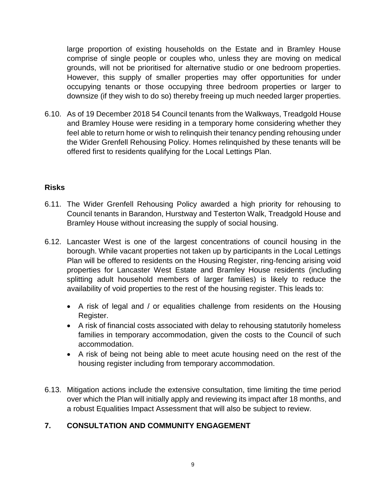large proportion of existing households on the Estate and in Bramley House comprise of single people or couples who, unless they are moving on medical grounds, will not be prioritised for alternative studio or one bedroom properties. However, this supply of smaller properties may offer opportunities for under occupying tenants or those occupying three bedroom properties or larger to downsize (if they wish to do so) thereby freeing up much needed larger properties.

6.10. As of 19 December 2018 54 Council tenants from the Walkways, Treadgold House and Bramley House were residing in a temporary home considering whether they feel able to return home or wish to relinquish their tenancy pending rehousing under the Wider Grenfell Rehousing Policy. Homes relinquished by these tenants will be offered first to residents qualifying for the Local Lettings Plan.

## **Risks**

- 6.11. The Wider Grenfell Rehousing Policy awarded a high priority for rehousing to Council tenants in Barandon, Hurstway and Testerton Walk, Treadgold House and Bramley House without increasing the supply of social housing.
- 6.12. Lancaster West is one of the largest concentrations of council housing in the borough. While vacant properties not taken up by participants in the Local Lettings Plan will be offered to residents on the Housing Register, ring-fencing arising void properties for Lancaster West Estate and Bramley House residents (including splitting adult household members of larger families) is likely to reduce the availability of void properties to the rest of the housing register. This leads to:
	- A risk of legal and / or equalities challenge from residents on the Housing Register.
	- A risk of financial costs associated with delay to rehousing statutorily homeless families in temporary accommodation, given the costs to the Council of such accommodation.
	- A risk of being not being able to meet acute housing need on the rest of the housing register including from temporary accommodation.
- 6.13. Mitigation actions include the extensive consultation, time limiting the time period over which the Plan will initially apply and reviewing its impact after 18 months, and a robust Equalities Impact Assessment that will also be subject to review.

## **7. CONSULTATION AND COMMUNITY ENGAGEMENT**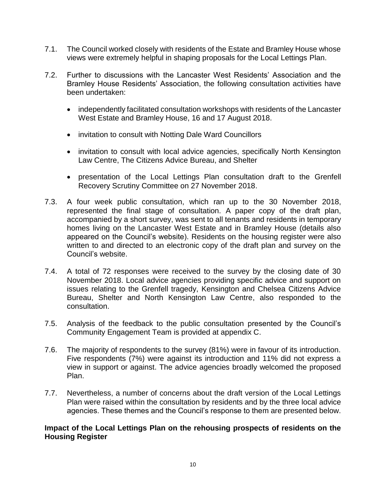- 7.1. The Council worked closely with residents of the Estate and Bramley House whose views were extremely helpful in shaping proposals for the Local Lettings Plan.
- 7.2. Further to discussions with the Lancaster West Residents' Association and the Bramley House Residents' Association, the following consultation activities have been undertaken:
	- independently facilitated consultation workshops with residents of the Lancaster West Estate and Bramley House, 16 and 17 August 2018.
	- invitation to consult with Notting Dale Ward Councillors
	- invitation to consult with local advice agencies, specifically North Kensington Law Centre, The Citizens Advice Bureau, and Shelter
	- presentation of the Local Lettings Plan consultation draft to the Grenfell Recovery Scrutiny Committee on 27 November 2018.
- 7.3. A four week public consultation, which ran up to the 30 November 2018, represented the final stage of consultation. A paper copy of the draft plan, accompanied by a short survey, was sent to all tenants and residents in temporary homes living on the Lancaster West Estate and in Bramley House (details also appeared on the Council's website). Residents on the housing register were also written to and directed to an electronic copy of the draft plan and survey on the Council's website.
- 7.4. A total of 72 responses were received to the survey by the closing date of 30 November 2018. Local advice agencies providing specific advice and support on issues relating to the Grenfell tragedy, Kensington and Chelsea Citizens Advice Bureau, Shelter and North Kensington Law Centre, also responded to the consultation.
- 7.5. Analysis of the feedback to the public consultation presented by the Council's Community Engagement Team is provided at appendix C.
- 7.6. The majority of respondents to the survey (81%) were in favour of its introduction. Five respondents (7%) were against its introduction and 11% did not express a view in support or against. The advice agencies broadly welcomed the proposed Plan.
- 7.7. Nevertheless, a number of concerns about the draft version of the Local Lettings Plan were raised within the consultation by residents and by the three local advice agencies. These themes and the Council's response to them are presented below.

## **Impact of the Local Lettings Plan on the rehousing prospects of residents on the Housing Register**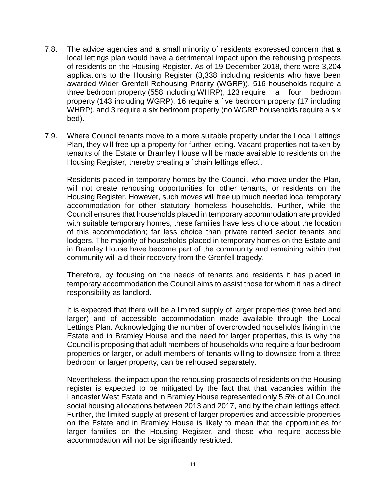- 7.8. The advice agencies and a small minority of residents expressed concern that a local lettings plan would have a detrimental impact upon the rehousing prospects of residents on the Housing Register. As of 19 December 2018, there were 3,204 applications to the Housing Register (3,338 including residents who have been awarded Wider Grenfell Rehousing Priority (WGRP)). 516 households require a three bedroom property (558 including WHRP), 123 require a four bedroom property (143 including WGRP), 16 require a five bedroom property (17 including WHRP), and 3 require a six bedroom property (no WGRP households require a six bed).
- 7.9. Where Council tenants move to a more suitable property under the Local Lettings Plan, they will free up a property for further letting. Vacant properties not taken by tenants of the Estate or Bramley House will be made available to residents on the Housing Register, thereby creating a `chain lettings effect'.

Residents placed in temporary homes by the Council, who move under the Plan, will not create rehousing opportunities for other tenants, or residents on the Housing Register. However, such moves will free up much needed local temporary accommodation for other statutory homeless households. Further, while the Council ensures that households placed in temporary accommodation are provided with suitable temporary homes, these families have less choice about the location of this accommodation; far less choice than private rented sector tenants and lodgers. The majority of households placed in temporary homes on the Estate and in Bramley House have become part of the community and remaining within that community will aid their recovery from the Grenfell tragedy.

Therefore, by focusing on the needs of tenants and residents it has placed in temporary accommodation the Council aims to assist those for whom it has a direct responsibility as landlord.

It is expected that there will be a limited supply of larger properties (three bed and larger) and of accessible accommodation made available through the Local Lettings Plan. Acknowledging the number of overcrowded households living in the Estate and in Bramley House and the need for larger properties, this is why the Council is proposing that adult members of households who require a four bedroom properties or larger, or adult members of tenants willing to downsize from a three bedroom or larger property, can be rehoused separately.

Nevertheless, the impact upon the rehousing prospects of residents on the Housing register is expected to be mitigated by the fact that that vacancies within the Lancaster West Estate and in Bramley House represented only 5.5% of all Council social housing allocations between 2013 and 2017, and by the chain lettings effect. Further, the limited supply at present of larger properties and accessible properties on the Estate and in Bramley House is likely to mean that the opportunities for larger families on the Housing Register, and those who require accessible accommodation will not be significantly restricted.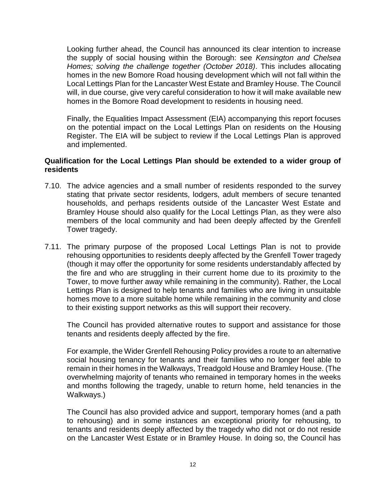Looking further ahead, the Council has announced its clear intention to increase the supply of social housing within the Borough: see *Kensington and Chelsea Homes; solving the challenge together (October 2018)*. This includes allocating homes in the new Bomore Road housing development which will not fall within the Local Lettings Plan for the Lancaster West Estate and Bramley House. The Council will, in due course, give very careful consideration to how it will make available new homes in the Bomore Road development to residents in housing need.

Finally, the Equalities Impact Assessment (EIA) accompanying this report focuses on the potential impact on the Local Lettings Plan on residents on the Housing Register. The EIA will be subject to review if the Local Lettings Plan is approved and implemented.

## **Qualification for the Local Lettings Plan should be extended to a wider group of residents**

- 7.10. The advice agencies and a small number of residents responded to the survey stating that private sector residents, lodgers, adult members of secure tenanted households, and perhaps residents outside of the Lancaster West Estate and Bramley House should also qualify for the Local Lettings Plan, as they were also members of the local community and had been deeply affected by the Grenfell Tower tragedy.
- 7.11. The primary purpose of the proposed Local Lettings Plan is not to provide rehousing opportunities to residents deeply affected by the Grenfell Tower tragedy (though it may offer the opportunity for some residents understandably affected by the fire and who are struggling in their current home due to its proximity to the Tower, to move further away while remaining in the community). Rather, the Local Lettings Plan is designed to help tenants and families who are living in unsuitable homes move to a more suitable home while remaining in the community and close to their existing support networks as this will support their recovery.

The Council has provided alternative routes to support and assistance for those tenants and residents deeply affected by the fire.

For example, the Wider Grenfell Rehousing Policy provides a route to an alternative social housing tenancy for tenants and their families who no longer feel able to remain in their homes in the Walkways, Treadgold House and Bramley House. (The overwhelming majority of tenants who remained in temporary homes in the weeks and months following the tragedy, unable to return home, held tenancies in the Walkways.)

The Council has also provided advice and support, temporary homes (and a path to rehousing) and in some instances an exceptional priority for rehousing, to tenants and residents deeply affected by the tragedy who did not or do not reside on the Lancaster West Estate or in Bramley House. In doing so, the Council has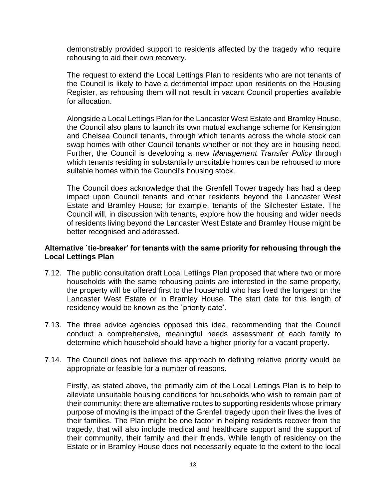demonstrably provided support to residents affected by the tragedy who require rehousing to aid their own recovery.

The request to extend the Local Lettings Plan to residents who are not tenants of the Council is likely to have a detrimental impact upon residents on the Housing Register, as rehousing them will not result in vacant Council properties available for allocation.

Alongside a Local Lettings Plan for the Lancaster West Estate and Bramley House, the Council also plans to launch its own mutual exchange scheme for Kensington and Chelsea Council tenants, through which tenants across the whole stock can swap homes with other Council tenants whether or not they are in housing need. Further, the Council is developing a new *Management Transfer Policy* through which tenants residing in substantially unsuitable homes can be rehoused to more suitable homes within the Council's housing stock.

The Council does acknowledge that the Grenfell Tower tragedy has had a deep impact upon Council tenants and other residents beyond the Lancaster West Estate and Bramley House; for example, tenants of the Silchester Estate. The Council will, in discussion with tenants, explore how the housing and wider needs of residents living beyond the Lancaster West Estate and Bramley House might be better recognised and addressed.

## **Alternative `tie-breaker' for tenants with the same priority for rehousing through the Local Lettings Plan**

- 7.12. The public consultation draft Local Lettings Plan proposed that where two or more households with the same rehousing points are interested in the same property, the property will be offered first to the household who has lived the longest on the Lancaster West Estate or in Bramley House. The start date for this length of residency would be known as the `priority date'.
- 7.13. The three advice agencies opposed this idea, recommending that the Council conduct a comprehensive, meaningful needs assessment of each family to determine which household should have a higher priority for a vacant property.
- 7.14. The Council does not believe this approach to defining relative priority would be appropriate or feasible for a number of reasons.

Firstly, as stated above, the primarily aim of the Local Lettings Plan is to help to alleviate unsuitable housing conditions for households who wish to remain part of their community: there are alternative routes to supporting residents whose primary purpose of moving is the impact of the Grenfell tragedy upon their lives the lives of their families. The Plan might be one factor in helping residents recover from the tragedy, that will also include medical and healthcare support and the support of their community, their family and their friends. While length of residency on the Estate or in Bramley House does not necessarily equate to the extent to the local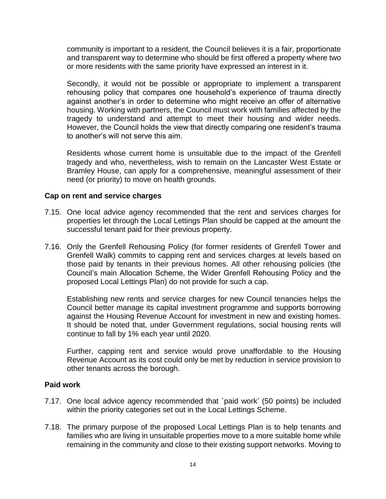community is important to a resident, the Council believes it is a fair, proportionate and transparent way to determine who should be first offered a property where two or more residents with the same priority have expressed an interest in it.

Secondly, it would not be possible or appropriate to implement a transparent rehousing policy that compares one household's experience of trauma directly against another's in order to determine who might receive an offer of alternative housing. Working with partners, the Council must work with families affected by the tragedy to understand and attempt to meet their housing and wider needs. However, the Council holds the view that directly comparing one resident's trauma to another's will not serve this aim.

Residents whose current home is unsuitable due to the impact of the Grenfell tragedy and who, nevertheless, wish to remain on the Lancaster West Estate or Bramley House, can apply for a comprehensive, meaningful assessment of their need (or priority) to move on health grounds.

## **Cap on rent and service charges**

- 7.15. One local advice agency recommended that the rent and services charges for properties let through the Local Lettings Plan should be capped at the amount the successful tenant paid for their previous property.
- 7.16. Only the Grenfell Rehousing Policy (for former residents of Grenfell Tower and Grenfell Walk) commits to capping rent and services charges at levels based on those paid by tenants in their previous homes. All other rehousing policies (the Council's main Allocation Scheme, the Wider Grenfell Rehousing Policy and the proposed Local Lettings Plan) do not provide for such a cap.

Establishing new rents and service charges for new Council tenancies helps the Council better manage its capital investment programme and supports borrowing against the Housing Revenue Account for investment in new and existing homes. It should be noted that, under Government regulations, social housing rents will continue to fall by 1% each year until 2020.

Further, capping rent and service would prove unaffordable to the Housing Revenue Account as its cost could only be met by reduction in service provision to other tenants across the borough.

## **Paid work**

- 7.17. One local advice agency recommended that `paid work' (50 points) be included within the priority categories set out in the Local Lettings Scheme.
- 7.18. The primary purpose of the proposed Local Lettings Plan is to help tenants and families who are living in unsuitable properties move to a more suitable home while remaining in the community and close to their existing support networks. Moving to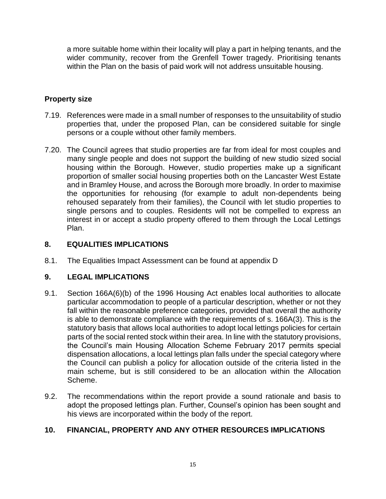a more suitable home within their locality will play a part in helping tenants, and the wider community, recover from the Grenfell Tower tragedy. Prioritising tenants within the Plan on the basis of paid work will not address unsuitable housing.

## **Property size**

- 7.19. References were made in a small number of responses to the unsuitability of studio properties that, under the proposed Plan, can be considered suitable for single persons or a couple without other family members.
- 7.20. The Council agrees that studio properties are far from ideal for most couples and many single people and does not support the building of new studio sized social housing within the Borough. However, studio properties make up a significant proportion of smaller social housing properties both on the Lancaster West Estate and in Bramley House, and across the Borough more broadly. In order to maximise the opportunities for rehousing (for example to adult non-dependents being rehoused separately from their families), the Council with let studio properties to single persons and to couples. Residents will not be compelled to express an interest in or accept a studio property offered to them through the Local Lettings Plan.

## **8. EQUALITIES IMPLICATIONS**

8.1. The Equalities Impact Assessment can be found at appendix D

## **9. LEGAL IMPLICATIONS**

- 9.1. Section 166A(6)(b) of the 1996 Housing Act enables local authorities to allocate particular accommodation to people of a particular description, whether or not they fall within the reasonable preference categories, provided that overall the authority is able to demonstrate compliance with the requirements of s. 166A(3). This is the statutory basis that allows local authorities to adopt local lettings policies for certain parts of the social rented stock within their area. In line with the statutory provisions, the Council's main Housing Allocation Scheme February 2017 permits special dispensation allocations, a local lettings plan falls under the special category where the Council can publish a policy for allocation outside of the criteria listed in the main scheme, but is still considered to be an allocation within the Allocation Scheme.
- 9.2. The recommendations within the report provide a sound rationale and basis to adopt the proposed lettings plan. Further, Counsel's opinion has been sought and his views are incorporated within the body of the report.

## **10. FINANCIAL, PROPERTY AND ANY OTHER RESOURCES IMPLICATIONS**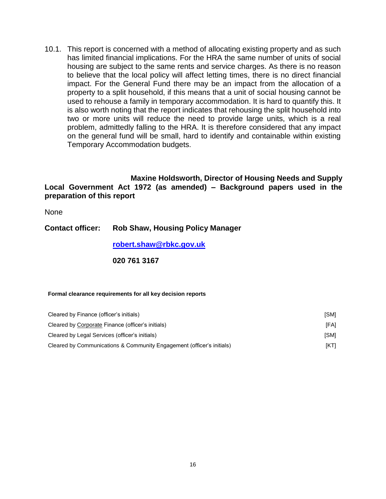10.1. This report is concerned with a method of allocating existing property and as such has limited financial implications. For the HRA the same number of units of social housing are subject to the same rents and service charges. As there is no reason to believe that the local policy will affect letting times, there is no direct financial impact. For the General Fund there may be an impact from the allocation of a property to a split household, if this means that a unit of social housing cannot be used to rehouse a family in temporary accommodation. It is hard to quantify this. It is also worth noting that the report indicates that rehousing the split household into two or more units will reduce the need to provide large units, which is a real problem, admittedly falling to the HRA. It is therefore considered that any impact on the general fund will be small, hard to identify and containable within existing Temporary Accommodation budgets.

#### **Maxine Holdsworth, Director of Housing Needs and Supply Local Government Act 1972 (as amended) – Background papers used in the preparation of this report**

None

## **Contact officer: Rob Shaw, Housing Policy Manager**

**[robert.shaw@rbkc.gov.uk](mailto:robert.shaw@rbkc.gov.uk)**

## **020 761 3167**

#### **Formal clearance requirements for all key decision reports**

| Cleared by Finance (officer's initials)                               | [SM]        |
|-----------------------------------------------------------------------|-------------|
| Cleared by Corporate Finance (officer's initials)                     | <b>IFAI</b> |
| Cleared by Legal Services (officer's initials)                        | [SM]        |
| Cleared by Communications & Community Engagement (officer's initials) | [KT]        |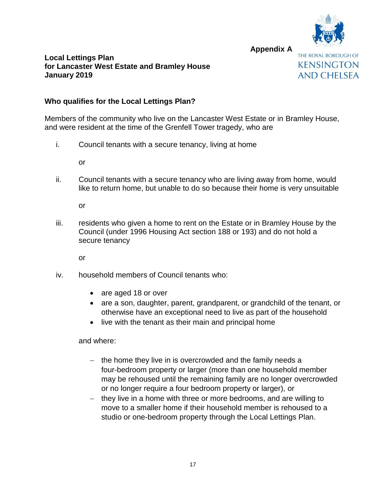

**Local Lettings Plan for Lancaster West Estate and Bramley House January 2019**



**Appendix A**

## **Who qualifies for the Local Lettings Plan?**

Members of the community who live on the Lancaster West Estate or in Bramley House, and were resident at the time of the Grenfell Tower tragedy, who are

i. Council tenants with a secure tenancy, living at home

or

ii. Council tenants with a secure tenancy who are living away from home, would like to return home, but unable to do so because their home is very unsuitable

or

iii. residents who given a home to rent on the Estate or in Bramley House by the Council (under 1996 Housing Act section 188 or 193) and do not hold a secure tenancy

or

- iv. household members of Council tenants who:
	- are aged 18 or over
	- are a son, daughter, parent, grandparent, or grandchild of the tenant, or otherwise have an exceptional need to live as part of the household
	- live with the tenant as their main and principal home

and where:

- the home they live in is overcrowded and the family needs a four-bedroom property or larger (more than one household member may be rehoused until the remaining family are no longer overcrowded or no longer require a four bedroom property or larger), or
- they live in a home with three or more bedrooms, and are willing to move to a smaller home if their household member is rehoused to a studio or one-bedroom property through the Local Lettings Plan.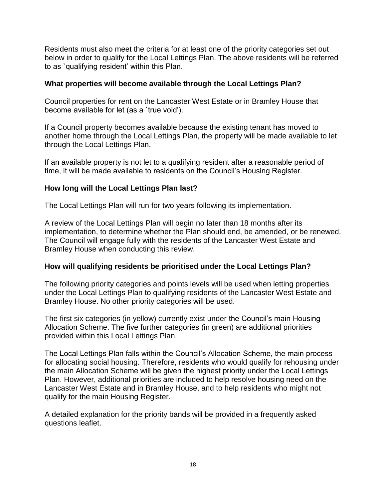Residents must also meet the criteria for at least one of the priority categories set out below in order to qualify for the Local Lettings Plan. The above residents will be referred to as `qualifying resident' within this Plan.

## **What properties will become available through the Local Lettings Plan?**

Council properties for rent on the Lancaster West Estate or in Bramley House that become available for let (as a `true void').

If a Council property becomes available because the existing tenant has moved to another home through the Local Lettings Plan, the property will be made available to let through the Local Lettings Plan.

If an available property is not let to a qualifying resident after a reasonable period of time, it will be made available to residents on the Council's Housing Register.

## **How long will the Local Lettings Plan last?**

The Local Lettings Plan will run for two years following its implementation.

A review of the Local Lettings Plan will begin no later than 18 months after its implementation, to determine whether the Plan should end, be amended, or be renewed. The Council will engage fully with the residents of the Lancaster West Estate and Bramley House when conducting this review.

## **How will qualifying residents be prioritised under the Local Lettings Plan?**

The following priority categories and points levels will be used when letting properties under the Local Lettings Plan to qualifying residents of the Lancaster West Estate and Bramley House. No other priority categories will be used.

The first six categories (in yellow) currently exist under the Council's main Housing Allocation Scheme. The five further categories (in green) are additional priorities provided within this Local Lettings Plan.

The Local Lettings Plan falls within the Council's Allocation Scheme, the main process for allocating social housing. Therefore, residents who would qualify for rehousing under the main Allocation Scheme will be given the highest priority under the Local Lettings Plan. However, additional priorities are included to help resolve housing need on the Lancaster West Estate and in Bramley House, and to help residents who might not qualify for the main Housing Register.

A detailed explanation for the priority bands will be provided in a frequently asked questions leaflet.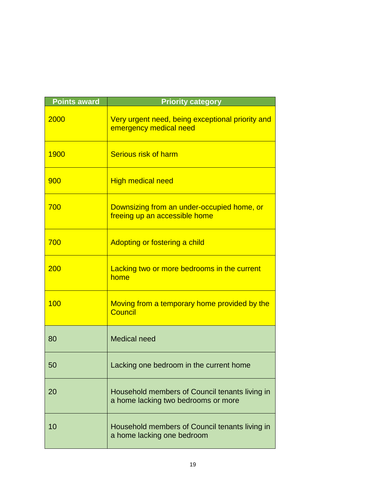| <b>Points award</b> | <b>Priority category</b>                                                              |  |  |  |
|---------------------|---------------------------------------------------------------------------------------|--|--|--|
| 2000                | Very urgent need, being exceptional priority and<br>emergency medical need            |  |  |  |
| 1900                | <b>Serious risk of harm</b>                                                           |  |  |  |
| 900                 | <b>High medical need</b>                                                              |  |  |  |
| 700                 | Downsizing from an under-occupied home, or<br>freeing up an accessible home           |  |  |  |
| 700                 | Adopting or fostering a child                                                         |  |  |  |
| 200                 | Lacking two or more bedrooms in the current<br>home                                   |  |  |  |
| 100                 | Moving from a temporary home provided by the<br><b>Council</b>                        |  |  |  |
| 80                  | <b>Medical need</b>                                                                   |  |  |  |
| 50                  | Lacking one bedroom in the current home                                               |  |  |  |
| 20                  | Household members of Council tenants living in<br>a home lacking two bedrooms or more |  |  |  |
| 10                  | Household members of Council tenants living in<br>a home lacking one bedroom          |  |  |  |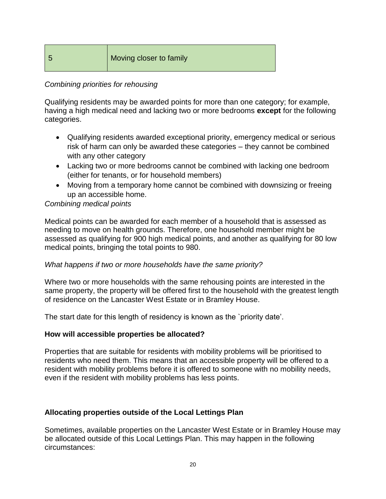# 5 Moving closer to family

## *Combining priorities for rehousing*

Qualifying residents may be awarded points for more than one category; for example, having a high medical need and lacking two or more bedrooms **except** for the following categories.

- Qualifying residents awarded exceptional priority, emergency medical or serious risk of harm can only be awarded these categories – they cannot be combined with any other category
- Lacking two or more bedrooms cannot be combined with lacking one bedroom (either for tenants, or for household members)
- Moving from a temporary home cannot be combined with downsizing or freeing up an accessible home.

## *Combining medical points*

Medical points can be awarded for each member of a household that is assessed as needing to move on health grounds. Therefore, one household member might be assessed as qualifying for 900 high medical points, and another as qualifying for 80 low medical points, bringing the total points to 980.

## *What happens if two or more households have the same priority?*

Where two or more households with the same rehousing points are interested in the same property, the property will be offered first to the household with the greatest length of residence on the Lancaster West Estate or in Bramley House.

The start date for this length of residency is known as the `priority date'.

## **How will accessible properties be allocated?**

Properties that are suitable for residents with mobility problems will be prioritised to residents who need them. This means that an accessible property will be offered to a resident with mobility problems before it is offered to someone with no mobility needs, even if the resident with mobility problems has less points.

## **Allocating properties outside of the Local Lettings Plan**

Sometimes, available properties on the Lancaster West Estate or in Bramley House may be allocated outside of this Local Lettings Plan. This may happen in the following circumstances: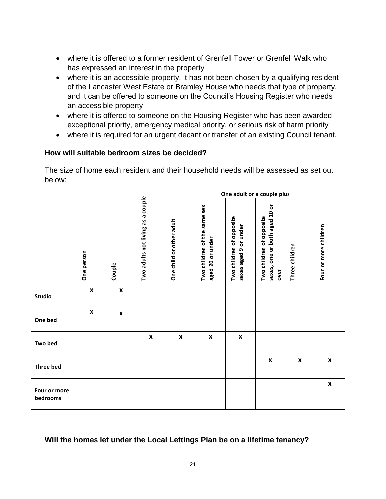- where it is offered to a former resident of Grenfell Tower or Grenfell Walk who has expressed an interest in the property
- where it is an accessible property, it has not been chosen by a qualifying resident of the Lancaster West Estate or Bramley House who needs that type of property, and it can be offered to someone on the Council's Housing Register who needs an accessible property
- where it is offered to someone on the Housing Register who has been awarded exceptional priority, emergency medical priority, or serious risk of harm priority
- where it is required for an urgent decant or transfer of an existing Council tenant.

## **How will suitable bedroom sizes be decided?**

The size of home each resident and their household needs will be assessed as set out below:

|                          |                    |                    |                                   |                          |                                                  |                                                   | One adult or a couple plus                                        |                |                       |
|--------------------------|--------------------|--------------------|-----------------------------------|--------------------------|--------------------------------------------------|---------------------------------------------------|-------------------------------------------------------------------|----------------|-----------------------|
|                          | One person         | Couple             | Two adults not living as a couple | One child or other adult | Two children of the same sex<br>aged 20 or under | Two children of opposite<br>sexes aged 9 or under | sexes, one or both aged 10 or<br>Two children of opposite<br>over | Three children | Four or more children |
| <b>Studio</b>            | $\pmb{\mathsf{x}}$ | $\pmb{\mathsf{x}}$ |                                   |                          |                                                  |                                                   |                                                                   |                |                       |
| One bed                  | $\pmb{\mathsf{X}}$ | $\pmb{\mathsf{x}}$ |                                   |                          |                                                  |                                                   |                                                                   |                |                       |
| Two bed                  |                    |                    | $\pmb{\mathsf{x}}$                | X                        | $\pmb{\mathsf{x}}$                               | X                                                 |                                                                   |                |                       |
| <b>Three bed</b>         |                    |                    |                                   |                          |                                                  |                                                   | $\pmb{\mathsf{x}}$                                                | X              | $\pmb{\mathsf{x}}$    |
| Four or more<br>bedrooms |                    |                    |                                   |                          |                                                  |                                                   |                                                                   |                | $\pmb{\mathsf{x}}$    |

## **Will the homes let under the Local Lettings Plan be on a lifetime tenancy?**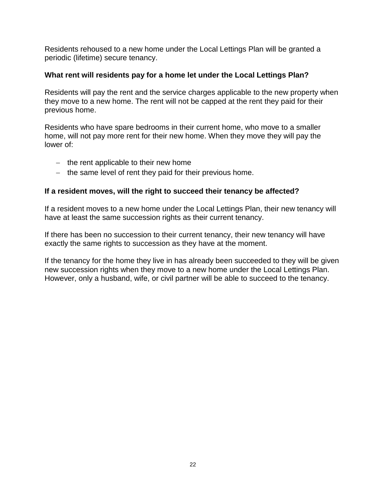Residents rehoused to a new home under the Local Lettings Plan will be granted a periodic (lifetime) secure tenancy.

## **What rent will residents pay for a home let under the Local Lettings Plan?**

Residents will pay the rent and the service charges applicable to the new property when they move to a new home. The rent will not be capped at the rent they paid for their previous home.

Residents who have spare bedrooms in their current home, who move to a smaller home, will not pay more rent for their new home. When they move they will pay the lower of:

- $-$  the rent applicable to their new home
- $-$  the same level of rent they paid for their previous home.

## **If a resident moves, will the right to succeed their tenancy be affected?**

If a resident moves to a new home under the Local Lettings Plan, their new tenancy will have at least the same succession rights as their current tenancy.

If there has been no succession to their current tenancy, their new tenancy will have exactly the same rights to succession as they have at the moment.

If the tenancy for the home they live in has already been succeeded to they will be given new succession rights when they move to a new home under the Local Lettings Plan. However, only a husband, wife, or civil partner will be able to succeed to the tenancy.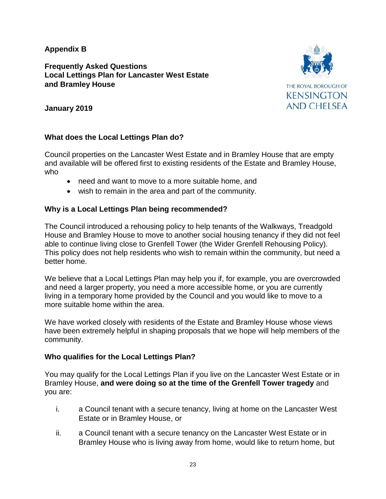## **Appendix B**

## **Frequently Asked Questions Local Lettings Plan for Lancaster West Estate and Bramley House**



## **January 2019**

## **What does the Local Lettings Plan do?**

Council properties on the Lancaster West Estate and in Bramley House that are empty and available will be offered first to existing residents of the Estate and Bramley House, who

- need and want to move to a more suitable home, and
- wish to remain in the area and part of the community.

## **Why is a Local Lettings Plan being recommended?**

The Council introduced a rehousing policy to help tenants of the Walkways, Treadgold House and Bramley House to move to another social housing tenancy if they did not feel able to continue living close to Grenfell Tower (the Wider Grenfell Rehousing Policy). This policy does not help residents who wish to remain within the community, but need a better home.

We believe that a Local Lettings Plan may help you if, for example, you are overcrowded and need a larger property, you need a more accessible home, or you are currently living in a temporary home provided by the Council and you would like to move to a more suitable home within the area.

We have worked closely with residents of the Estate and Bramley House whose views have been extremely helpful in shaping proposals that we hope will help members of the community.

## **Who qualifies for the Local Lettings Plan?**

You may qualify for the Local Lettings Plan if you live on the Lancaster West Estate or in Bramley House, **and were doing so at the time of the Grenfell Tower tragedy** and you are:

- i. a Council tenant with a secure tenancy, living at home on the Lancaster West Estate or in Bramley House, or
- ii. a Council tenant with a secure tenancy on the Lancaster West Estate or in Bramley House who is living away from home, would like to return home, but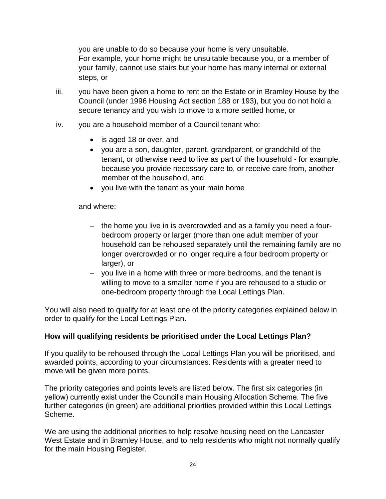you are unable to do so because your home is very unsuitable. For example, your home might be unsuitable because you, or a member of your family, cannot use stairs but your home has many internal or external steps, or

- iii. you have been given a home to rent on the Estate or in Bramley House by the Council (under 1996 Housing Act section 188 or 193), but you do not hold a secure tenancy and you wish to move to a more settled home, or
- iv. you are a household member of a Council tenant who:
	- is aged 18 or over, and
	- you are a son, daughter, parent, grandparent, or grandchild of the tenant, or otherwise need to live as part of the household - for example, because you provide necessary care to, or receive care from, another member of the household, and
	- you live with the tenant as your main home

and where:

- $-$  the home you live in is overcrowded and as a family you need a fourbedroom property or larger (more than one adult member of your household can be rehoused separately until the remaining family are no longer overcrowded or no longer require a four bedroom property or larger), or
- you live in a home with three or more bedrooms, and the tenant is willing to move to a smaller home if you are rehoused to a studio or one-bedroom property through the Local Lettings Plan.

You will also need to qualify for at least one of the priority categories explained below in order to qualify for the Local Lettings Plan.

## **How will qualifying residents be prioritised under the Local Lettings Plan?**

If you qualify to be rehoused through the Local Lettings Plan you will be prioritised, and awarded points, according to your circumstances. Residents with a greater need to move will be given more points.

The priority categories and points levels are listed below. The first six categories (in yellow) currently exist under the Council's main Housing Allocation Scheme. The five further categories (in green) are additional priorities provided within this Local Lettings Scheme.

We are using the additional priorities to help resolve housing need on the Lancaster West Estate and in Bramley House, and to help residents who might not normally qualify for the main Housing Register.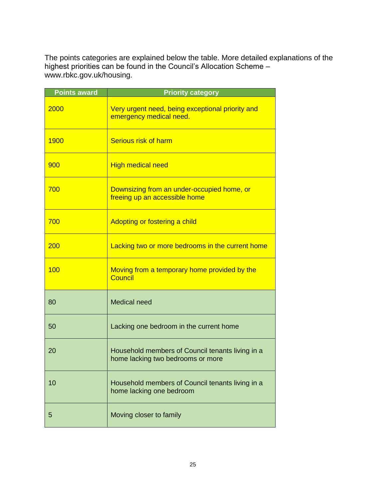The points categories are explained below the table. More detailed explanations of the highest priorities can be found in the Council's Allocation Scheme – www.rbkc.gov.uk/housing.

| <b>Points award</b> | <b>Priority category</b>                                                              |
|---------------------|---------------------------------------------------------------------------------------|
| 2000                | Very urgent need, being exceptional priority and<br>emergency medical need.           |
| 1900                | <b>Serious risk of harm</b>                                                           |
| 900                 | <b>High medical need</b>                                                              |
| 700                 | Downsizing from an under-occupied home, or<br>freeing up an accessible home           |
| 700                 | Adopting or fostering a child                                                         |
| 200                 | Lacking two or more bedrooms in the current home                                      |
| 100                 | Moving from a temporary home provided by the<br>Council                               |
| 80                  | <b>Medical need</b>                                                                   |
| 50                  | Lacking one bedroom in the current home                                               |
| 20                  | Household members of Council tenants living in a<br>home lacking two bedrooms or more |
| 10                  | Household members of Council tenants living in a<br>home lacking one bedroom          |
| 5                   | Moving closer to family                                                               |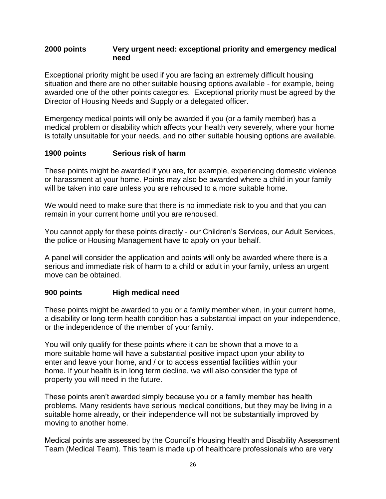## **2000 points Very urgent need: exceptional priority and emergency medical need**

Exceptional priority might be used if you are facing an extremely difficult housing situation and there are no other suitable housing options available - for example, being awarded one of the other points categories. Exceptional priority must be agreed by the Director of Housing Needs and Supply or a delegated officer.

Emergency medical points will only be awarded if you (or a family member) has a medical problem or disability which affects your health very severely, where your home is totally unsuitable for your needs, and no other suitable housing options are available.

## **1900 points Serious risk of harm**

These points might be awarded if you are, for example, experiencing domestic violence or harassment at your home. Points may also be awarded where a child in your family will be taken into care unless you are rehoused to a more suitable home.

We would need to make sure that there is no immediate risk to you and that you can remain in your current home until you are rehoused.

You cannot apply for these points directly - our Children's Services, our Adult Services, the police or Housing Management have to apply on your behalf.

A panel will consider the application and points will only be awarded where there is a serious and immediate risk of harm to a child or adult in your family, unless an urgent move can be obtained.

## **900 points High medical need**

These points might be awarded to you or a family member when, in your current home, a disability or long-term health condition has a substantial impact on your independence, or the independence of the member of your family.

You will only qualify for these points where it can be shown that a move to a more suitable home will have a substantial positive impact upon your ability to enter and leave your home, and / or to access essential facilities within your home. If your health is in long term decline, we will also consider the type of property you will need in the future.

These points aren't awarded simply because you or a family member has health problems. Many residents have serious medical conditions, but they may be living in a suitable home already, or their independence will not be substantially improved by moving to another home.

Medical points are assessed by the Council's Housing Health and Disability Assessment Team (Medical Team). This team is made up of healthcare professionals who are very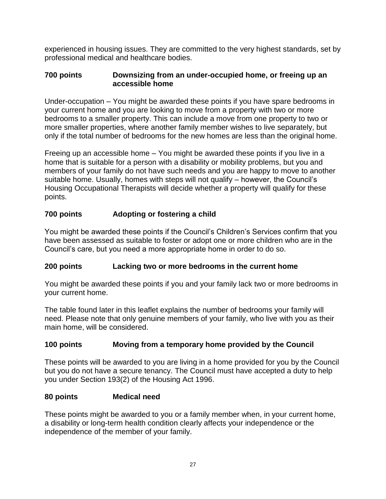experienced in housing issues. They are committed to the very highest standards, set by professional medical and healthcare bodies.

## **700 points Downsizing from an under-occupied home, or freeing up an accessible home**

Under-occupation – You might be awarded these points if you have spare bedrooms in your current home and you are looking to move from a property with two or more bedrooms to a smaller property. This can include a move from one property to two or more smaller properties, where another family member wishes to live separately, but only if the total number of bedrooms for the new homes are less than the original home.

Freeing up an accessible home – You might be awarded these points if you live in a home that is suitable for a person with a disability or mobility problems, but you and members of your family do not have such needs and you are happy to move to another suitable home. Usually, homes with steps will not qualify – however, the Council's Housing Occupational Therapists will decide whether a property will qualify for these points.

## **700 points Adopting or fostering a child**

You might be awarded these points if the Council's Children's Services confirm that you have been assessed as suitable to foster or adopt one or more children who are in the Council's care, but you need a more appropriate home in order to do so.

## **200 points Lacking two or more bedrooms in the current home**

You might be awarded these points if you and your family lack two or more bedrooms in your current home.

The table found later in this leaflet explains the number of bedrooms your family will need. Please note that only genuine members of your family, who live with you as their main home, will be considered.

## **100 points Moving from a temporary home provided by the Council**

These points will be awarded to you are living in a home provided for you by the Council but you do not have a secure tenancy. The Council must have accepted a duty to help you under Section 193(2) of the Housing Act 1996.

## **80 points Medical need**

These points might be awarded to you or a family member when, in your current home, a disability or long-term health condition clearly affects your independence or the independence of the member of your family.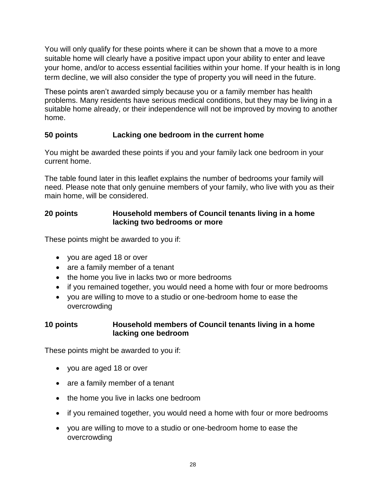You will only qualify for these points where it can be shown that a move to a more suitable home will clearly have a positive impact upon your ability to enter and leave your home, and/or to access essential facilities within your home. If your health is in long term decline, we will also consider the type of property you will need in the future.

These points aren't awarded simply because you or a family member has health problems. Many residents have serious medical conditions, but they may be living in a suitable home already, or their independence will not be improved by moving to another home.

## **50 points Lacking one bedroom in the current home**

You might be awarded these points if you and your family lack one bedroom in your current home.

The table found later in this leaflet explains the number of bedrooms your family will need. Please note that only genuine members of your family, who live with you as their main home, will be considered.

## **20 points Household members of Council tenants living in a home lacking two bedrooms or more**

These points might be awarded to you if:

- you are aged 18 or over
- are a family member of a tenant
- the home you live in lacks two or more bedrooms
- if you remained together, you would need a home with four or more bedrooms
- you are willing to move to a studio or one-bedroom home to ease the overcrowding

## **10 points Household members of Council tenants living in a home lacking one bedroom**

These points might be awarded to you if:

- you are aged 18 or over
- are a family member of a tenant
- the home you live in lacks one bedroom
- if you remained together, you would need a home with four or more bedrooms
- you are willing to move to a studio or one-bedroom home to ease the overcrowding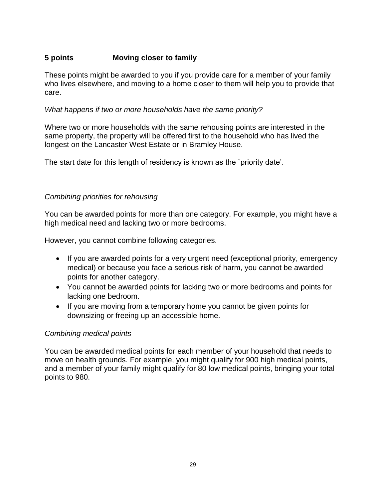## **5 points Moving closer to family**

These points might be awarded to you if you provide care for a member of your family who lives elsewhere, and moving to a home closer to them will help you to provide that care.

## *What happens if two or more households have the same priority?*

Where two or more households with the same rehousing points are interested in the same property, the property will be offered first to the household who has lived the longest on the Lancaster West Estate or in Bramley House.

The start date for this length of residency is known as the `priority date'.

## *Combining priorities for rehousing*

You can be awarded points for more than one category. For example, you might have a high medical need and lacking two or more bedrooms.

However, you cannot combine following categories.

- If you are awarded points for a very urgent need (exceptional priority, emergency medical) or because you face a serious risk of harm, you cannot be awarded points for another category.
- You cannot be awarded points for lacking two or more bedrooms and points for lacking one bedroom.
- If you are moving from a temporary home you cannot be given points for downsizing or freeing up an accessible home.

## *Combining medical points*

You can be awarded medical points for each member of your household that needs to move on health grounds. For example, you might qualify for 900 high medical points, and a member of your family might qualify for 80 low medical points, bringing your total points to 980.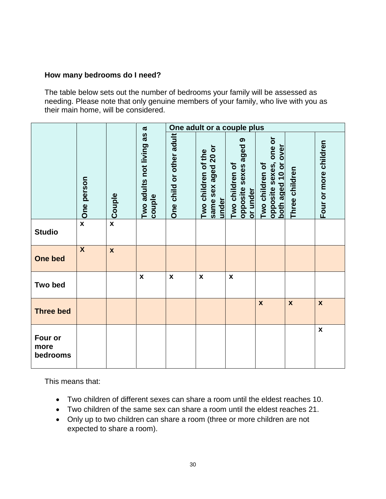## **How many bedrooms do I need?**

The table below sets out the number of bedrooms your family will be assessed as needing. Please note that only genuine members of your family, who live with you as their main home, will be considered.

|                             |                  |               | α                                  |                          |                                                     | One adult or a couple plus                           |                                                                         |                    |                       |
|-----------------------------|------------------|---------------|------------------------------------|--------------------------|-----------------------------------------------------|------------------------------------------------------|-------------------------------------------------------------------------|--------------------|-----------------------|
|                             | One person       | <b>Couple</b> | Two adults not living as<br>couple | One child or other adult | same sex aged 20 or<br>Two children of the<br>under | opposite sexes aged 9<br>Two children of<br>or under | one or<br>over<br>opposite sexes,<br>both aged 10 or<br>Two children of | Three children     | Four or more children |
| <b>Studio</b>               | $\mathbf{x}$     | $\mathbf{x}$  |                                    |                          |                                                     |                                                      |                                                                         |                    |                       |
| One bed                     | $\boldsymbol{X}$ | $\mathbf{x}$  |                                    |                          |                                                     |                                                      |                                                                         |                    |                       |
| <b>Two bed</b>              |                  |               | $\pmb{\mathsf{x}}$                 | $\pmb{\mathsf{x}}$       | $\pmb{\mathsf{x}}$                                  | $\boldsymbol{\mathsf{x}}$                            |                                                                         |                    |                       |
| <b>Three bed</b>            |                  |               |                                    |                          |                                                     |                                                      | $\boldsymbol{\mathsf{x}}$                                               | $\pmb{\mathsf{x}}$ | $\pmb{\mathsf{x}}$    |
| Four or<br>more<br>bedrooms |                  |               |                                    |                          |                                                     |                                                      |                                                                         |                    | $\pmb{\mathsf{x}}$    |

This means that:

- Two children of different sexes can share a room until the eldest reaches 10.
- Two children of the same sex can share a room until the eldest reaches 21.
- Only up to two children can share a room (three or more children are not expected to share a room).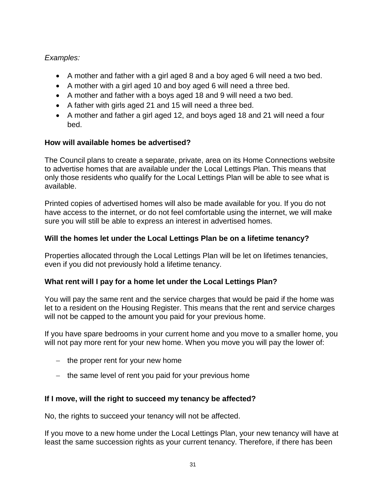## *Examples:*

- A mother and father with a girl aged 8 and a boy aged 6 will need a two bed.
- A mother with a girl aged 10 and boy aged 6 will need a three bed.
- A mother and father with a boys aged 18 and 9 will need a two bed.
- A father with girls aged 21 and 15 will need a three bed.
- A mother and father a girl aged 12, and boys aged 18 and 21 will need a four bed.

## **How will available homes be advertised?**

The Council plans to create a separate, private, area on its Home Connections website to advertise homes that are available under the Local Lettings Plan. This means that only those residents who qualify for the Local Lettings Plan will be able to see what is available.

Printed copies of advertised homes will also be made available for you. If you do not have access to the internet, or do not feel comfortable using the internet, we will make sure you will still be able to express an interest in advertised homes.

## **Will the homes let under the Local Lettings Plan be on a lifetime tenancy?**

Properties allocated through the Local Lettings Plan will be let on lifetimes tenancies, even if you did not previously hold a lifetime tenancy.

## **What rent will I pay for a home let under the Local Lettings Plan?**

You will pay the same rent and the service charges that would be paid if the home was let to a resident on the Housing Register. This means that the rent and service charges will not be capped to the amount you paid for your previous home.

If you have spare bedrooms in your current home and you move to a smaller home, you will not pay more rent for your new home. When you move you will pay the lower of:

- $-$  the proper rent for your new home
- $-$  the same level of rent you paid for your previous home

## **If I move, will the right to succeed my tenancy be affected?**

No, the rights to succeed your tenancy will not be affected.

If you move to a new home under the Local Lettings Plan, your new tenancy will have at least the same succession rights as your current tenancy. Therefore, if there has been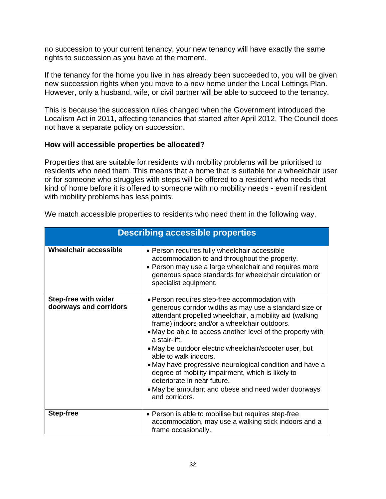no succession to your current tenancy, your new tenancy will have exactly the same rights to succession as you have at the moment.

If the tenancy for the home you live in has already been succeeded to, you will be given new succession rights when you move to a new home under the Local Lettings Plan. However, only a husband, wife, or civil partner will be able to succeed to the tenancy.

This is because the succession rules changed when the Government introduced the Localism Act in 2011, affecting tenancies that started after April 2012. The Council does not have a separate policy on succession.

## **How will accessible properties be allocated?**

Properties that are suitable for residents with mobility problems will be prioritised to residents who need them. This means that a home that is suitable for a wheelchair user or for someone who struggles with steps will be offered to a resident who needs that kind of home before it is offered to someone with no mobility needs - even if resident with mobility problems has less points.

|                                                       | <b>Describing accessible properties</b>                                                                                                                                                                                                                                                                                                                                                                                                                                                                                                                                                                        |
|-------------------------------------------------------|----------------------------------------------------------------------------------------------------------------------------------------------------------------------------------------------------------------------------------------------------------------------------------------------------------------------------------------------------------------------------------------------------------------------------------------------------------------------------------------------------------------------------------------------------------------------------------------------------------------|
| <b>Wheelchair accessible</b>                          | • Person requires fully wheelchair accessible<br>accommodation to and throughout the property.<br>• Person may use a large wheelchair and requires more<br>generous space standards for wheelchair circulation or<br>specialist equipment.                                                                                                                                                                                                                                                                                                                                                                     |
| <b>Step-free with wider</b><br>doorways and corridors | • Person requires step-free accommodation with<br>generous corridor widths as may use a standard size or<br>attendant propelled wheelchair, a mobility aid (walking<br>frame) indoors and/or a wheelchair outdoors.<br>• May be able to access another level of the property with<br>a stair-lift.<br>• May be outdoor electric wheelchair/scooter user, but<br>able to walk indoors.<br>• May have progressive neurological condition and have a<br>degree of mobility impairment, which is likely to<br>deteriorate in near future.<br>• May be ambulant and obese and need wider doorways<br>and corridors. |
| <b>Step-free</b>                                      | • Person is able to mobilise but requires step-free<br>accommodation, may use a walking stick indoors and a<br>frame occasionally.                                                                                                                                                                                                                                                                                                                                                                                                                                                                             |

We match accessible properties to residents who need them in the following way.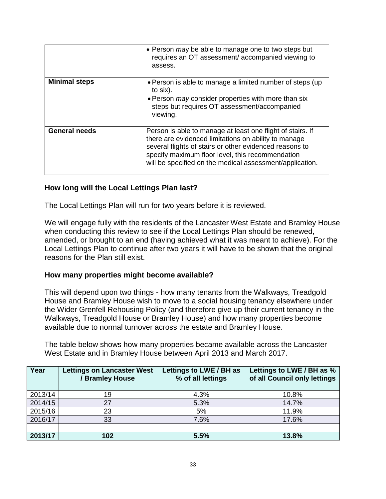|                      | • Person may be able to manage one to two steps but<br>requires an OT assessment/accompanied viewing to<br>assess.                                                                                                                                                                            |
|----------------------|-----------------------------------------------------------------------------------------------------------------------------------------------------------------------------------------------------------------------------------------------------------------------------------------------|
| <b>Minimal steps</b> | • Person is able to manage a limited number of steps (up)<br>to six).<br>• Person <i>may</i> consider properties with more than six<br>steps but requires OT assessment/accompanied<br>viewing.                                                                                               |
| <b>General needs</b> | Person is able to manage at least one flight of stairs. If<br>there are evidenced limitations on ability to manage<br>several flights of stairs or other evidenced reasons to<br>specify maximum floor level, this recommendation<br>will be specified on the medical assessment/application. |

#### **How long will the Local Lettings Plan last?**

The Local Lettings Plan will run for two years before it is reviewed.

We will engage fully with the residents of the Lancaster West Estate and Bramley House when conducting this review to see if the Local Lettings Plan should be renewed, amended, or brought to an end (having achieved what it was meant to achieve). For the Local Lettings Plan to continue after two years it will have to be shown that the original reasons for the Plan still exist.

#### **How many properties might become available?**

This will depend upon two things - how many tenants from the Walkways, Treadgold House and Bramley House wish to move to a social housing tenancy elsewhere under the Wider Grenfell Rehousing Policy (and therefore give up their current tenancy in the Walkways, Treadgold House or Bramley House) and how many properties become available due to normal turnover across the estate and Bramley House.

The table below shows how many properties became available across the Lancaster West Estate and in Bramley House between April 2013 and March 2017.

| Year    | <b>Lettings on Lancaster West</b><br><b>Bramley House</b> | Lettings to LWE / BH as<br>% of all lettings | Lettings to LWE / BH as %<br>of all Council only lettings |
|---------|-----------------------------------------------------------|----------------------------------------------|-----------------------------------------------------------|
| 2013/14 | 19                                                        | 4.3%                                         | 10.8%                                                     |
| 2014/15 | 27                                                        | 5.3%                                         | 14.7%                                                     |
| 2015/16 | 23                                                        | 5%                                           | 11.9%                                                     |
| 2016/17 | 33                                                        | 7.6%                                         | 17.6%                                                     |
|         |                                                           |                                              |                                                           |
| 2013/17 | 102                                                       | 5.5%                                         | 13.8%                                                     |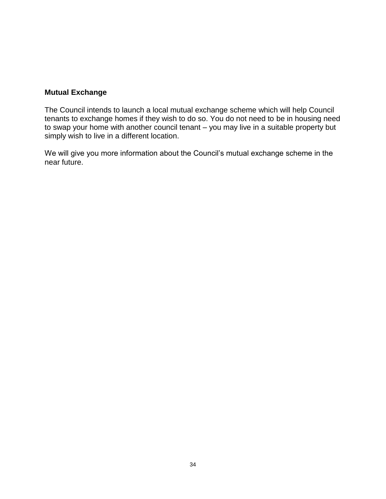## **Mutual Exchange**

The Council intends to launch a local mutual exchange scheme which will help Council tenants to exchange homes if they wish to do so. You do not need to be in housing need to swap your home with another council tenant – you may live in a suitable property but simply wish to live in a different location.

We will give you more information about the Council's mutual exchange scheme in the near future.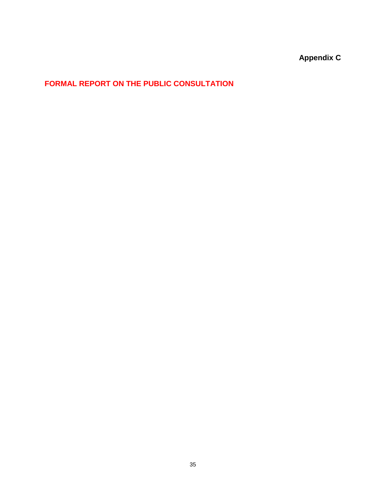**Appendix C**

## **FORMAL REPORT ON THE PUBLIC CONSULTATION**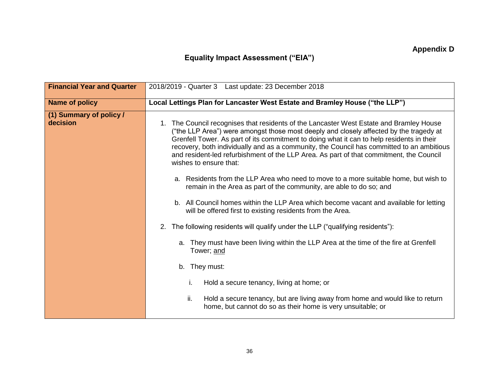## **Equality Impact Assessment ("EIA")**

| <b>Financial Year and Quarter</b>   | 2018/2019 - Quarter 3 Last update: 23 December 2018                                                                                                                                                                                                                                                                                                                                                                                                                                                                                                                                                                                                                                                                                                                                                                                                                                                                                                                                                                                                                                                                                                                                                                                          |
|-------------------------------------|----------------------------------------------------------------------------------------------------------------------------------------------------------------------------------------------------------------------------------------------------------------------------------------------------------------------------------------------------------------------------------------------------------------------------------------------------------------------------------------------------------------------------------------------------------------------------------------------------------------------------------------------------------------------------------------------------------------------------------------------------------------------------------------------------------------------------------------------------------------------------------------------------------------------------------------------------------------------------------------------------------------------------------------------------------------------------------------------------------------------------------------------------------------------------------------------------------------------------------------------|
| <b>Name of policy</b>               | Local Lettings Plan for Lancaster West Estate and Bramley House ("the LLP")                                                                                                                                                                                                                                                                                                                                                                                                                                                                                                                                                                                                                                                                                                                                                                                                                                                                                                                                                                                                                                                                                                                                                                  |
| (1) Summary of policy /<br>decision | 1. The Council recognises that residents of the Lancaster West Estate and Bramley House<br>("the LLP Area") were amongst those most deeply and closely affected by the tragedy at<br>Grenfell Tower. As part of its commitment to doing what it can to help residents in their<br>recovery, both individually and as a community, the Council has committed to an ambitious<br>and resident-led refurbishment of the LLP Area. As part of that commitment, the Council<br>wishes to ensure that:<br>a. Residents from the LLP Area who need to move to a more suitable home, but wish to<br>remain in the Area as part of the community, are able to do so; and<br>b. All Council homes within the LLP Area which become vacant and available for letting<br>will be offered first to existing residents from the Area.<br>2. The following residents will qualify under the LLP ("qualifying residents"):<br>a. They must have been living within the LLP Area at the time of the fire at Grenfell<br>Tower; and<br>b. They must:<br>Hold a secure tenancy, living at home; or<br>İ.<br>ii.<br>Hold a secure tenancy, but are living away from home and would like to return<br>home, but cannot do so as their home is very unsuitable; or |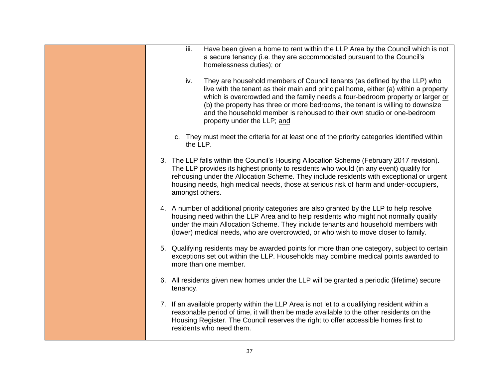| iii.<br>Have been given a home to rent within the LLP Area by the Council which is not<br>a secure tenancy (i.e. they are accommodated pursuant to the Council's<br>homelessness duties); or                                                                                                                                                                                                                                                          |
|-------------------------------------------------------------------------------------------------------------------------------------------------------------------------------------------------------------------------------------------------------------------------------------------------------------------------------------------------------------------------------------------------------------------------------------------------------|
| iv.<br>They are household members of Council tenants (as defined by the LLP) who<br>live with the tenant as their main and principal home, either (a) within a property<br>which is overcrowded and the family needs a four-bedroom property or larger or<br>(b) the property has three or more bedrooms, the tenant is willing to downsize<br>and the household member is rehoused to their own studio or one-bedroom<br>property under the LLP; and |
| c. They must meet the criteria for at least one of the priority categories identified within<br>the LLP.                                                                                                                                                                                                                                                                                                                                              |
| 3. The LLP falls within the Council's Housing Allocation Scheme (February 2017 revision).<br>The LLP provides its highest priority to residents who would (in any event) qualify for<br>rehousing under the Allocation Scheme. They include residents with exceptional or urgent<br>housing needs, high medical needs, those at serious risk of harm and under-occupiers,<br>amongst others.                                                          |
| 4. A number of additional priority categories are also granted by the LLP to help resolve<br>housing need within the LLP Area and to help residents who might not normally qualify<br>under the main Allocation Scheme. They include tenants and household members with<br>(lower) medical needs, who are overcrowded, or who wish to move closer to family.                                                                                          |
| 5. Qualifying residents may be awarded points for more than one category, subject to certain<br>exceptions set out within the LLP. Households may combine medical points awarded to<br>more than one member.                                                                                                                                                                                                                                          |
| 6. All residents given new homes under the LLP will be granted a periodic (lifetime) secure<br>tenancy.                                                                                                                                                                                                                                                                                                                                               |
| 7. If an available property within the LLP Area is not let to a qualifying resident within a<br>reasonable period of time, it will then be made available to the other residents on the<br>Housing Register. The Council reserves the right to offer accessible homes first to<br>residents who need them.                                                                                                                                            |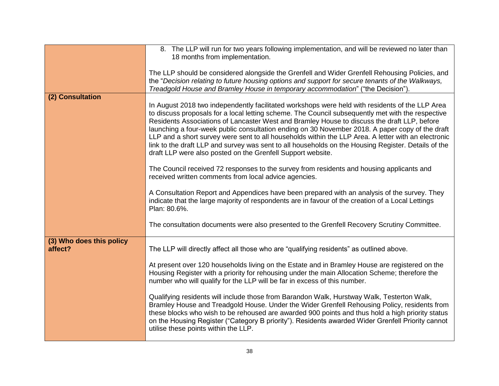|                                     | 8. The LLP will run for two years following implementation, and will be reviewed no later than<br>18 months from implementation.                                                                                                                                                                                                                                                                                                                                                                                                                                                                                                                                                    |
|-------------------------------------|-------------------------------------------------------------------------------------------------------------------------------------------------------------------------------------------------------------------------------------------------------------------------------------------------------------------------------------------------------------------------------------------------------------------------------------------------------------------------------------------------------------------------------------------------------------------------------------------------------------------------------------------------------------------------------------|
|                                     | The LLP should be considered alongside the Grenfell and Wider Grenfell Rehousing Policies, and<br>the "Decision relating to future housing options and support for secure tenants of the Walkways,<br>Treadgold House and Bramley House in temporary accommodation" ("the Decision").                                                                                                                                                                                                                                                                                                                                                                                               |
| (2) Consultation                    | In August 2018 two independently facilitated workshops were held with residents of the LLP Area<br>to discuss proposals for a local letting scheme. The Council subsequently met with the respective<br>Residents Associations of Lancaster West and Bramley House to discuss the draft LLP, before<br>launching a four-week public consultation ending on 30 November 2018. A paper copy of the draft<br>LLP and a short survey were sent to all households within the LLP Area. A letter with an electronic<br>link to the draft LLP and survey was sent to all households on the Housing Register. Details of the<br>draft LLP were also posted on the Grenfell Support website. |
|                                     | The Council received 72 responses to the survey from residents and housing applicants and<br>received written comments from local advice agencies.                                                                                                                                                                                                                                                                                                                                                                                                                                                                                                                                  |
|                                     | A Consultation Report and Appendices have been prepared with an analysis of the survey. They<br>indicate that the large majority of respondents are in favour of the creation of a Local Lettings<br>Plan: 80.6%.                                                                                                                                                                                                                                                                                                                                                                                                                                                                   |
|                                     | The consultation documents were also presented to the Grenfell Recovery Scrutiny Committee.                                                                                                                                                                                                                                                                                                                                                                                                                                                                                                                                                                                         |
| (3) Who does this policy<br>affect? | The LLP will directly affect all those who are "qualifying residents" as outlined above.                                                                                                                                                                                                                                                                                                                                                                                                                                                                                                                                                                                            |
|                                     | At present over 120 households living on the Estate and in Bramley House are registered on the<br>Housing Register with a priority for rehousing under the main Allocation Scheme; therefore the<br>number who will qualify for the LLP will be far in excess of this number.                                                                                                                                                                                                                                                                                                                                                                                                       |
|                                     | Qualifying residents will include those from Barandon Walk, Hurstway Walk, Testerton Walk,<br>Bramley House and Treadgold House. Under the Wider Grenfell Rehousing Policy, residents from<br>these blocks who wish to be rehoused are awarded 900 points and thus hold a high priority status<br>on the Housing Register ("Category B priority"). Residents awarded Wider Grenfell Priority cannot<br>utilise these points within the LLP.                                                                                                                                                                                                                                         |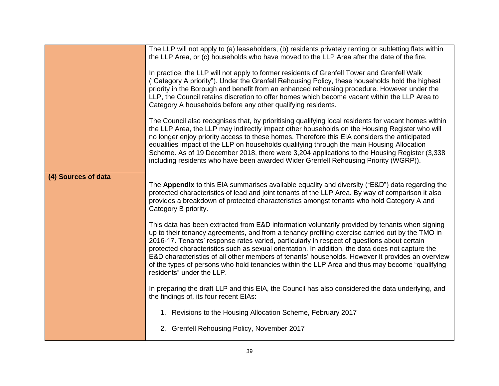|                     | The LLP will not apply to (a) leaseholders, (b) residents privately renting or subletting flats within<br>the LLP Area, or (c) households who have moved to the LLP Area after the date of the fire.<br>In practice, the LLP will not apply to former residents of Grenfell Tower and Grenfell Walk<br>("Category A priority"). Under the Grenfell Rehousing Policy, these households hold the highest<br>priority in the Borough and benefit from an enhanced rehousing procedure. However under the<br>LLP, the Council retains discretion to offer homes which become vacant within the LLP Area to<br>Category A households before any other qualifying residents.<br>The Council also recognises that, by prioritising qualifying local residents for vacant homes within<br>the LLP Area, the LLP may indirectly impact other households on the Housing Register who will<br>no longer enjoy priority access to these homes. Therefore this EIA considers the anticipated<br>equalities impact of the LLP on households qualifying through the main Housing Allocation<br>Scheme. As of 19 December 2018, there were 3,204 applications to the Housing Register (3,338<br>including residents who have been awarded Wider Grenfell Rehousing Priority (WGRP)). |
|---------------------|----------------------------------------------------------------------------------------------------------------------------------------------------------------------------------------------------------------------------------------------------------------------------------------------------------------------------------------------------------------------------------------------------------------------------------------------------------------------------------------------------------------------------------------------------------------------------------------------------------------------------------------------------------------------------------------------------------------------------------------------------------------------------------------------------------------------------------------------------------------------------------------------------------------------------------------------------------------------------------------------------------------------------------------------------------------------------------------------------------------------------------------------------------------------------------------------------------------------------------------------------------------------|
| (4) Sources of data | The Appendix to this EIA summarises available equality and diversity ("E&D") data regarding the                                                                                                                                                                                                                                                                                                                                                                                                                                                                                                                                                                                                                                                                                                                                                                                                                                                                                                                                                                                                                                                                                                                                                                      |
|                     | protected characteristics of lead and joint tenants of the LLP Area. By way of comparison it also<br>provides a breakdown of protected characteristics amongst tenants who hold Category A and<br>Category B priority.                                                                                                                                                                                                                                                                                                                                                                                                                                                                                                                                                                                                                                                                                                                                                                                                                                                                                                                                                                                                                                               |
|                     | This data has been extracted from E&D information voluntarily provided by tenants when signing<br>up to their tenancy agreements, and from a tenancy profiling exercise carried out by the TMO in<br>2016-17. Tenants' response rates varied, particularly in respect of questions about certain<br>protected characteristics such as sexual orientation. In addition, the data does not capture the<br>E&D characteristics of all other members of tenants' households. However it provides an overview<br>of the types of persons who hold tenancies within the LLP Area and thus may become "qualifying"<br>residents" under the LLP.                                                                                                                                                                                                                                                                                                                                                                                                                                                                                                                                                                                                                             |
|                     | In preparing the draft LLP and this EIA, the Council has also considered the data underlying, and<br>the findings of, its four recent EIAs:                                                                                                                                                                                                                                                                                                                                                                                                                                                                                                                                                                                                                                                                                                                                                                                                                                                                                                                                                                                                                                                                                                                          |
|                     | 1. Revisions to the Housing Allocation Scheme, February 2017                                                                                                                                                                                                                                                                                                                                                                                                                                                                                                                                                                                                                                                                                                                                                                                                                                                                                                                                                                                                                                                                                                                                                                                                         |
|                     | 2. Grenfell Rehousing Policy, November 2017                                                                                                                                                                                                                                                                                                                                                                                                                                                                                                                                                                                                                                                                                                                                                                                                                                                                                                                                                                                                                                                                                                                                                                                                                          |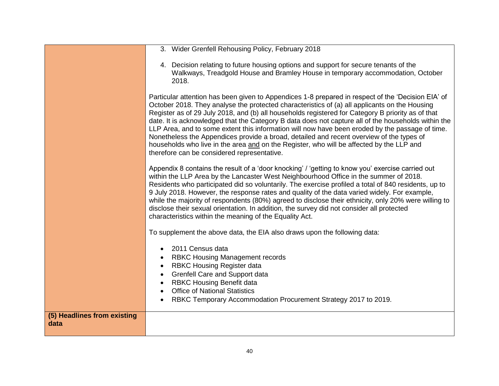|                                     | 3. Wider Grenfell Rehousing Policy, February 2018                                                                                                                                                                                                                                                                                                                                                                                                                                                                                                                                                                                                                                                                                                         |
|-------------------------------------|-----------------------------------------------------------------------------------------------------------------------------------------------------------------------------------------------------------------------------------------------------------------------------------------------------------------------------------------------------------------------------------------------------------------------------------------------------------------------------------------------------------------------------------------------------------------------------------------------------------------------------------------------------------------------------------------------------------------------------------------------------------|
|                                     |                                                                                                                                                                                                                                                                                                                                                                                                                                                                                                                                                                                                                                                                                                                                                           |
|                                     | 4. Decision relating to future housing options and support for secure tenants of the<br>Walkways, Treadgold House and Bramley House in temporary accommodation, October<br>2018.                                                                                                                                                                                                                                                                                                                                                                                                                                                                                                                                                                          |
|                                     | Particular attention has been given to Appendices 1-8 prepared in respect of the 'Decision EIA' of<br>October 2018. They analyse the protected characteristics of (a) all applicants on the Housing<br>Register as of 29 July 2018, and (b) all households registered for Category B priority as of that<br>date. It is acknowledged that the Category B data does not capture all of the households within the<br>LLP Area, and to some extent this information will now have been eroded by the passage of time.<br>Nonetheless the Appendices provide a broad, detailed and recent overview of the types of<br>households who live in the area and on the Register, who will be affected by the LLP and<br>therefore can be considered representative. |
|                                     | Appendix 8 contains the result of a 'door knocking' / 'getting to know you' exercise carried out<br>within the LLP Area by the Lancaster West Neighbourhood Office in the summer of 2018.<br>Residents who participated did so voluntarily. The exercise profiled a total of 840 residents, up to<br>9 July 2018. However, the response rates and quality of the data varied widely. For example,<br>while the majority of respondents (80%) agreed to disclose their ethnicity, only 20% were willing to<br>disclose their sexual orientation. In addition, the survey did not consider all protected<br>characteristics within the meaning of the Equality Act.                                                                                         |
|                                     | To supplement the above data, the EIA also draws upon the following data:                                                                                                                                                                                                                                                                                                                                                                                                                                                                                                                                                                                                                                                                                 |
|                                     | 2011 Census data<br>$\bullet$                                                                                                                                                                                                                                                                                                                                                                                                                                                                                                                                                                                                                                                                                                                             |
|                                     | <b>RBKC Housing Management records</b>                                                                                                                                                                                                                                                                                                                                                                                                                                                                                                                                                                                                                                                                                                                    |
|                                     | <b>RBKC Housing Register data</b>                                                                                                                                                                                                                                                                                                                                                                                                                                                                                                                                                                                                                                                                                                                         |
|                                     | <b>Grenfell Care and Support data</b>                                                                                                                                                                                                                                                                                                                                                                                                                                                                                                                                                                                                                                                                                                                     |
|                                     | <b>RBKC Housing Benefit data</b><br><b>Office of National Statistics</b>                                                                                                                                                                                                                                                                                                                                                                                                                                                                                                                                                                                                                                                                                  |
|                                     | RBKC Temporary Accommodation Procurement Strategy 2017 to 2019.                                                                                                                                                                                                                                                                                                                                                                                                                                                                                                                                                                                                                                                                                           |
| (5) Headlines from existing<br>data |                                                                                                                                                                                                                                                                                                                                                                                                                                                                                                                                                                                                                                                                                                                                                           |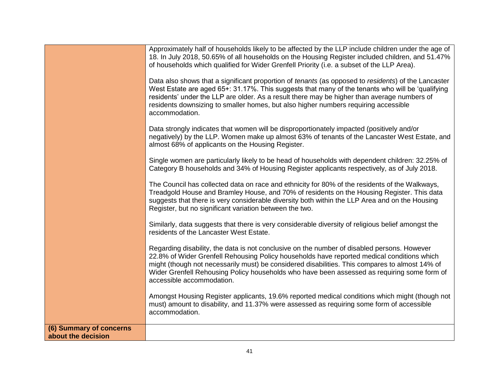|                                               | Approximately half of households likely to be affected by the LLP include children under the age of<br>18. In July 2018, 50.65% of all households on the Housing Register included children, and 51.47%<br>of households which qualified for Wider Grenfell Priority (i.e. a subset of the LLP Area).<br>Data also shows that a significant proportion of tenants (as opposed to residents) of the Lancaster<br>West Estate are aged 65+: 31.17%. This suggests that many of the tenants who will be 'qualifying<br>residents' under the LLP are older. As a result there may be higher than average numbers of<br>residents downsizing to smaller homes, but also higher numbers requiring accessible<br>accommodation.<br>Data strongly indicates that women will be disproportionately impacted (positively and/or<br>negatively) by the LLP. Women make up almost 63% of tenants of the Lancaster West Estate, and<br>almost 68% of applicants on the Housing Register.<br>Single women are particularly likely to be head of households with dependent children: 32.25% of<br>Category B households and 34% of Housing Register applicants respectively, as of July 2018.<br>The Council has collected data on race and ethnicity for 80% of the residents of the Walkways, |
|-----------------------------------------------|----------------------------------------------------------------------------------------------------------------------------------------------------------------------------------------------------------------------------------------------------------------------------------------------------------------------------------------------------------------------------------------------------------------------------------------------------------------------------------------------------------------------------------------------------------------------------------------------------------------------------------------------------------------------------------------------------------------------------------------------------------------------------------------------------------------------------------------------------------------------------------------------------------------------------------------------------------------------------------------------------------------------------------------------------------------------------------------------------------------------------------------------------------------------------------------------------------------------------------------------------------------------------------|
|                                               | Treadgold House and Bramley House, and 70% of residents on the Housing Register. This data<br>suggests that there is very considerable diversity both within the LLP Area and on the Housing<br>Register, but no significant variation between the two.                                                                                                                                                                                                                                                                                                                                                                                                                                                                                                                                                                                                                                                                                                                                                                                                                                                                                                                                                                                                                          |
|                                               | Similarly, data suggests that there is very considerable diversity of religious belief amongst the<br>residents of the Lancaster West Estate.                                                                                                                                                                                                                                                                                                                                                                                                                                                                                                                                                                                                                                                                                                                                                                                                                                                                                                                                                                                                                                                                                                                                    |
|                                               | Regarding disability, the data is not conclusive on the number of disabled persons. However<br>22.8% of Wider Grenfell Rehousing Policy households have reported medical conditions which<br>might (though not necessarily must) be considered disabilities. This compares to almost 14% of<br>Wider Grenfell Rehousing Policy households who have been assessed as requiring some form of<br>accessible accommodation.                                                                                                                                                                                                                                                                                                                                                                                                                                                                                                                                                                                                                                                                                                                                                                                                                                                          |
|                                               | Amongst Housing Register applicants, 19.6% reported medical conditions which might (though not<br>must) amount to disability, and 11.37% were assessed as requiring some form of accessible<br>accommodation.                                                                                                                                                                                                                                                                                                                                                                                                                                                                                                                                                                                                                                                                                                                                                                                                                                                                                                                                                                                                                                                                    |
| (6) Summary of concerns<br>about the decision |                                                                                                                                                                                                                                                                                                                                                                                                                                                                                                                                                                                                                                                                                                                                                                                                                                                                                                                                                                                                                                                                                                                                                                                                                                                                                  |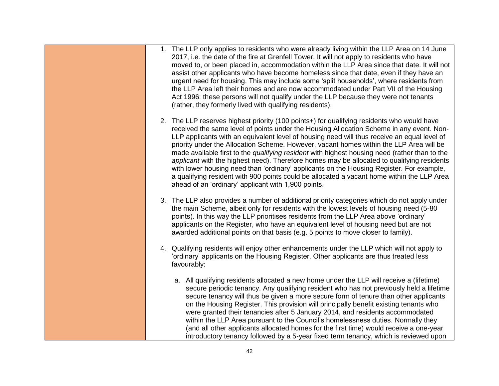| 1. The LLP only applies to residents who were already living within the LLP Area on 14 June<br>2017, i.e. the date of the fire at Grenfell Tower. It will not apply to residents who have<br>moved to, or been placed in, accommodation within the LLP Area since that date. It will not<br>assist other applicants who have become homeless since that date, even if they have an<br>urgent need for housing. This may include some 'split households', where residents from<br>the LLP Area left their homes and are now accommodated under Part VII of the Housing<br>Act 1996: these persons will not qualify under the LLP because they were not tenants<br>(rather, they formerly lived with qualifying residents).                                                                                                        |
|----------------------------------------------------------------------------------------------------------------------------------------------------------------------------------------------------------------------------------------------------------------------------------------------------------------------------------------------------------------------------------------------------------------------------------------------------------------------------------------------------------------------------------------------------------------------------------------------------------------------------------------------------------------------------------------------------------------------------------------------------------------------------------------------------------------------------------|
| 2. The LLP reserves highest priority (100 points+) for qualifying residents who would have<br>received the same level of points under the Housing Allocation Scheme in any event. Non-<br>LLP applicants with an equivalent level of housing need will thus receive an equal level of<br>priority under the Allocation Scheme. However, vacant homes within the LLP Area will be<br>made available first to the qualifying resident with highest housing need (rather than to the<br>applicant with the highest need). Therefore homes may be allocated to qualifying residents<br>with lower housing need than 'ordinary' applicants on the Housing Register. For example,<br>a qualifying resident with 900 points could be allocated a vacant home within the LLP Area<br>ahead of an 'ordinary' applicant with 1,900 points. |
| 3. The LLP also provides a number of additional priority categories which do not apply under<br>the main Scheme, albeit only for residents with the lowest levels of housing need (5-80)<br>points). In this way the LLP prioritises residents from the LLP Area above 'ordinary'<br>applicants on the Register, who have an equivalent level of housing need but are not<br>awarded additional points on that basis (e.g. 5 points to move closer to family).                                                                                                                                                                                                                                                                                                                                                                   |
| 4. Qualifying residents will enjoy other enhancements under the LLP which will not apply to<br>'ordinary' applicants on the Housing Register. Other applicants are thus treated less<br>favourably:                                                                                                                                                                                                                                                                                                                                                                                                                                                                                                                                                                                                                              |
| a. All qualifying residents allocated a new home under the LLP will receive a (lifetime)<br>secure periodic tenancy. Any qualifying resident who has not previously held a lifetime<br>secure tenancy will thus be given a more secure form of tenure than other applicants<br>on the Housing Register. This provision will principally benefit existing tenants who<br>were granted their tenancies after 5 January 2014, and residents accommodated<br>within the LLP Area pursuant to the Council's homelessness duties. Normally they<br>(and all other applicants allocated homes for the first time) would receive a one-year<br>introductory tenancy followed by a 5-year fixed term tenancy, which is reviewed upon                                                                                                      |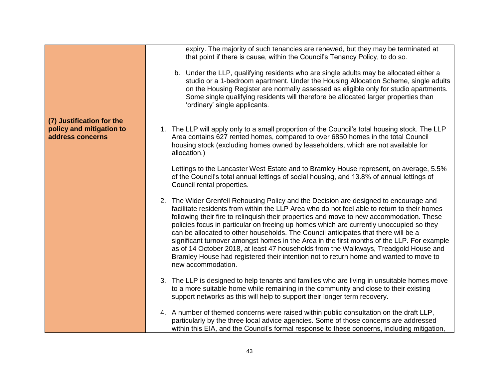|                                                                           | expiry. The majority of such tenancies are renewed, but they may be terminated at<br>that point if there is cause, within the Council's Tenancy Policy, to do so.<br>b. Under the LLP, qualifying residents who are single adults may be allocated either a<br>studio or a 1-bedroom apartment. Under the Housing Allocation Scheme, single adults<br>on the Housing Register are normally assessed as eligible only for studio apartments.<br>Some single qualifying residents will therefore be allocated larger properties than<br>'ordinary' single applicants.                                                                                                                                                                                                    |
|---------------------------------------------------------------------------|------------------------------------------------------------------------------------------------------------------------------------------------------------------------------------------------------------------------------------------------------------------------------------------------------------------------------------------------------------------------------------------------------------------------------------------------------------------------------------------------------------------------------------------------------------------------------------------------------------------------------------------------------------------------------------------------------------------------------------------------------------------------|
| (7) Justification for the<br>policy and mitigation to<br>address concerns | 1. The LLP will apply only to a small proportion of the Council's total housing stock. The LLP<br>Area contains 627 rented homes, compared to over 6850 homes in the total Council<br>housing stock (excluding homes owned by leaseholders, which are not available for<br>allocation.)                                                                                                                                                                                                                                                                                                                                                                                                                                                                                |
|                                                                           | Lettings to the Lancaster West Estate and to Bramley House represent, on average, 5.5%<br>of the Council's total annual lettings of social housing, and 13.8% of annual lettings of<br>Council rental properties.                                                                                                                                                                                                                                                                                                                                                                                                                                                                                                                                                      |
|                                                                           | 2. The Wider Grenfell Rehousing Policy and the Decision are designed to encourage and<br>facilitate residents from within the LLP Area who do not feel able to return to their homes<br>following their fire to relinquish their properties and move to new accommodation. These<br>policies focus in particular on freeing up homes which are currently unoccupied so they<br>can be allocated to other households. The Council anticipates that there will be a<br>significant turnover amongst homes in the Area in the first months of the LLP. For example<br>as of 14 October 2018, at least 47 households from the Walkways, Treadgold House and<br>Bramley House had registered their intention not to return home and wanted to move to<br>new accommodation. |
|                                                                           | 3. The LLP is designed to help tenants and families who are living in unsuitable homes move<br>to a more suitable home while remaining in the community and close to their existing<br>support networks as this will help to support their longer term recovery.                                                                                                                                                                                                                                                                                                                                                                                                                                                                                                       |
|                                                                           | 4. A number of themed concerns were raised within public consultation on the draft LLP,<br>particularly by the three local advice agencies. Some of those concerns are addressed<br>within this EIA, and the Council's formal response to these concerns, including mitigation,                                                                                                                                                                                                                                                                                                                                                                                                                                                                                        |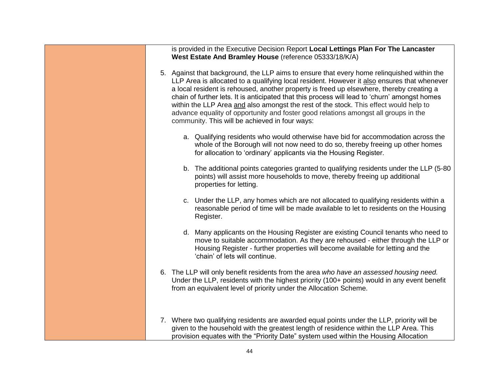| is provided in the Executive Decision Report Local Lettings Plan For The Lancaster<br>West Estate And Bramley House (reference 05333/18/K/A)                                                                                                                                                                                                                                                                                                                                                                                                                                                                             |
|--------------------------------------------------------------------------------------------------------------------------------------------------------------------------------------------------------------------------------------------------------------------------------------------------------------------------------------------------------------------------------------------------------------------------------------------------------------------------------------------------------------------------------------------------------------------------------------------------------------------------|
| 5. Against that background, the LLP aims to ensure that every home relinquished within the<br>LLP Area is allocated to a qualifying local resident. However it also ensures that whenever<br>a local resident is rehoused, another property is freed up elsewhere, thereby creating a<br>chain of further lets. It is anticipated that this process will lead to 'churn' amongst homes<br>within the LLP Area and also amongst the rest of the stock. This effect would help to<br>advance equality of opportunity and foster good relations amongst all groups in the<br>community. This will be achieved in four ways: |
| a. Qualifying residents who would otherwise have bid for accommodation across the<br>whole of the Borough will not now need to do so, thereby freeing up other homes<br>for allocation to 'ordinary' applicants via the Housing Register.                                                                                                                                                                                                                                                                                                                                                                                |
| b. The additional points categories granted to qualifying residents under the LLP (5-80<br>points) will assist more households to move, thereby freeing up additional<br>properties for letting.                                                                                                                                                                                                                                                                                                                                                                                                                         |
| c. Under the LLP, any homes which are not allocated to qualifying residents within a<br>reasonable period of time will be made available to let to residents on the Housing<br>Register.                                                                                                                                                                                                                                                                                                                                                                                                                                 |
| d. Many applicants on the Housing Register are existing Council tenants who need to<br>move to suitable accommodation. As they are rehoused - either through the LLP or<br>Housing Register - further properties will become available for letting and the<br>'chain' of lets will continue.                                                                                                                                                                                                                                                                                                                             |
| 6. The LLP will only benefit residents from the area who have an assessed housing need.<br>Under the LLP, residents with the highest priority (100+ points) would in any event benefit<br>from an equivalent level of priority under the Allocation Scheme.                                                                                                                                                                                                                                                                                                                                                              |
| 7. Where two qualifying residents are awarded equal points under the LLP, priority will be<br>given to the household with the greatest length of residence within the LLP Area. This<br>provision equates with the "Priority Date" system used within the Housing Allocation                                                                                                                                                                                                                                                                                                                                             |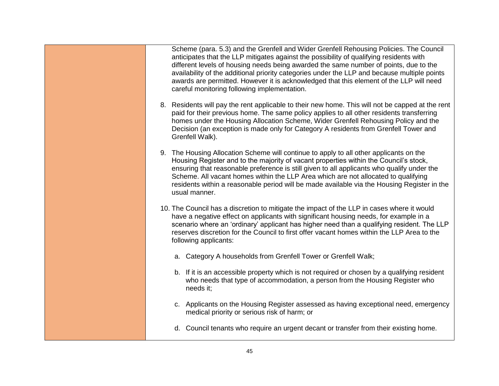| Scheme (para. 5.3) and the Grenfell and Wider Grenfell Rehousing Policies. The Council<br>anticipates that the LLP mitigates against the possibility of qualifying residents with<br>different levels of housing needs being awarded the same number of points, due to the<br>availability of the additional priority categories under the LLP and because multiple points<br>awards are permitted. However it is acknowledged that this element of the LLP will need<br>careful monitoring following implementation. |
|-----------------------------------------------------------------------------------------------------------------------------------------------------------------------------------------------------------------------------------------------------------------------------------------------------------------------------------------------------------------------------------------------------------------------------------------------------------------------------------------------------------------------|
| 8. Residents will pay the rent applicable to their new home. This will not be capped at the rent<br>paid for their previous home. The same policy applies to all other residents transferring<br>homes under the Housing Allocation Scheme, Wider Grenfell Rehousing Policy and the<br>Decision (an exception is made only for Category A residents from Grenfell Tower and<br>Grenfell Walk).                                                                                                                        |
| 9. The Housing Allocation Scheme will continue to apply to all other applicants on the<br>Housing Register and to the majority of vacant properties within the Council's stock,<br>ensuring that reasonable preference is still given to all applicants who qualify under the<br>Scheme. All vacant homes within the LLP Area which are not allocated to qualifying<br>residents within a reasonable period will be made available via the Housing Register in the<br>usual manner.                                   |
| 10. The Council has a discretion to mitigate the impact of the LLP in cases where it would<br>have a negative effect on applicants with significant housing needs, for example in a<br>scenario where an 'ordinary' applicant has higher need than a qualifying resident. The LLP<br>reserves discretion for the Council to first offer vacant homes within the LLP Area to the<br>following applicants:                                                                                                              |
| a. Category A households from Grenfell Tower or Grenfell Walk;                                                                                                                                                                                                                                                                                                                                                                                                                                                        |
| b. If it is an accessible property which is not required or chosen by a qualifying resident<br>who needs that type of accommodation, a person from the Housing Register who<br>needs it;                                                                                                                                                                                                                                                                                                                              |
| c. Applicants on the Housing Register assessed as having exceptional need, emergency<br>medical priority or serious risk of harm; or                                                                                                                                                                                                                                                                                                                                                                                  |
| d. Council tenants who require an urgent decant or transfer from their existing home.                                                                                                                                                                                                                                                                                                                                                                                                                                 |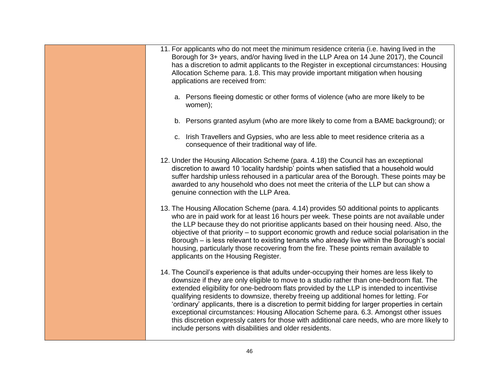| 11. For applicants who do not meet the minimum residence criteria (i.e. having lived in the<br>Borough for 3+ years, and/or having lived in the LLP Area on 14 June 2017), the Council<br>has a discretion to admit applicants to the Register in exceptional circumstances: Housing<br>Allocation Scheme para. 1.8. This may provide important mitigation when housing<br>applications are received from:                                                                                                                                                                                                                                                                                                                          |
|-------------------------------------------------------------------------------------------------------------------------------------------------------------------------------------------------------------------------------------------------------------------------------------------------------------------------------------------------------------------------------------------------------------------------------------------------------------------------------------------------------------------------------------------------------------------------------------------------------------------------------------------------------------------------------------------------------------------------------------|
| a. Persons fleeing domestic or other forms of violence (who are more likely to be<br>women);                                                                                                                                                                                                                                                                                                                                                                                                                                                                                                                                                                                                                                        |
| b. Persons granted asylum (who are more likely to come from a BAME background); or                                                                                                                                                                                                                                                                                                                                                                                                                                                                                                                                                                                                                                                  |
| c. Irish Travellers and Gypsies, who are less able to meet residence criteria as a<br>consequence of their traditional way of life.                                                                                                                                                                                                                                                                                                                                                                                                                                                                                                                                                                                                 |
| 12. Under the Housing Allocation Scheme (para. 4.18) the Council has an exceptional<br>discretion to award 10 'locality hardship' points when satisfied that a household would<br>suffer hardship unless rehoused in a particular area of the Borough. These points may be<br>awarded to any household who does not meet the criteria of the LLP but can show a<br>genuine connection with the LLP Area.                                                                                                                                                                                                                                                                                                                            |
| 13. The Housing Allocation Scheme (para. 4.14) provides 50 additional points to applicants<br>who are in paid work for at least 16 hours per week. These points are not available under<br>the LLP because they do not prioritise applicants based on their housing need. Also, the<br>objective of that priority – to support economic growth and reduce social polarisation in the<br>Borough - is less relevant to existing tenants who already live within the Borough's social<br>housing, particularly those recovering from the fire. These points remain available to<br>applicants on the Housing Register.                                                                                                                |
| 14. The Council's experience is that adults under-occupying their homes are less likely to<br>downsize if they are only eligible to move to a studio rather than one-bedroom flat. The<br>extended eligibility for one-bedroom flats provided by the LLP is intended to incentivise<br>qualifying residents to downsize, thereby freeing up additional homes for letting. For<br>'ordinary' applicants, there is a discretion to permit bidding for larger properties in certain<br>exceptional circumstances: Housing Allocation Scheme para. 6.3. Amongst other issues<br>this discretion expressly caters for those with additional care needs, who are more likely to<br>include persons with disabilities and older residents. |
|                                                                                                                                                                                                                                                                                                                                                                                                                                                                                                                                                                                                                                                                                                                                     |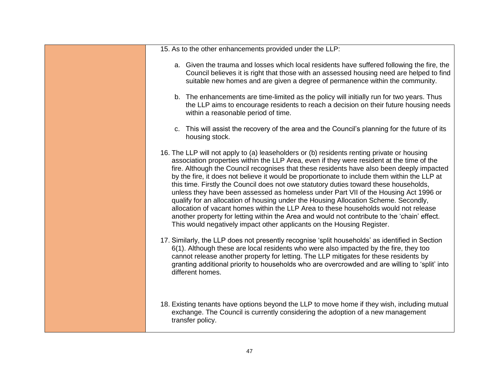| 15. As to the other enhancements provided under the LLP:                                                                                                                                                                                                                                                                                                                                                                                                                                                                                                                                                                                                                                                                                                                                                                                                                                                                       |
|--------------------------------------------------------------------------------------------------------------------------------------------------------------------------------------------------------------------------------------------------------------------------------------------------------------------------------------------------------------------------------------------------------------------------------------------------------------------------------------------------------------------------------------------------------------------------------------------------------------------------------------------------------------------------------------------------------------------------------------------------------------------------------------------------------------------------------------------------------------------------------------------------------------------------------|
|                                                                                                                                                                                                                                                                                                                                                                                                                                                                                                                                                                                                                                                                                                                                                                                                                                                                                                                                |
| a. Given the trauma and losses which local residents have suffered following the fire, the<br>Council believes it is right that those with an assessed housing need are helped to find<br>suitable new homes and are given a degree of permanence within the community.                                                                                                                                                                                                                                                                                                                                                                                                                                                                                                                                                                                                                                                        |
| b. The enhancements are time-limited as the policy will initially run for two years. Thus<br>the LLP aims to encourage residents to reach a decision on their future housing needs<br>within a reasonable period of time.                                                                                                                                                                                                                                                                                                                                                                                                                                                                                                                                                                                                                                                                                                      |
| c. This will assist the recovery of the area and the Council's planning for the future of its<br>housing stock.                                                                                                                                                                                                                                                                                                                                                                                                                                                                                                                                                                                                                                                                                                                                                                                                                |
| 16. The LLP will not apply to (a) leaseholders or (b) residents renting private or housing<br>association properties within the LLP Area, even if they were resident at the time of the<br>fire. Although the Council recognises that these residents have also been deeply impacted<br>by the fire, it does not believe it would be proportionate to include them within the LLP at<br>this time. Firstly the Council does not owe statutory duties toward these households,<br>unless they have been assessed as homeless under Part VII of the Housing Act 1996 or<br>qualify for an allocation of housing under the Housing Allocation Scheme. Secondly,<br>allocation of vacant homes within the LLP Area to these households would not release<br>another property for letting within the Area and would not contribute to the 'chain' effect.<br>This would negatively impact other applicants on the Housing Register. |
| 17. Similarly, the LLP does not presently recognise 'split households' as identified in Section<br>6(1). Although these are local residents who were also impacted by the fire, they too<br>cannot release another property for letting. The LLP mitigates for these residents by<br>granting additional priority to households who are overcrowded and are willing to 'split' into<br>different homes.                                                                                                                                                                                                                                                                                                                                                                                                                                                                                                                        |
| 18. Existing tenants have options beyond the LLP to move home if they wish, including mutual<br>exchange. The Council is currently considering the adoption of a new management<br>transfer policy.                                                                                                                                                                                                                                                                                                                                                                                                                                                                                                                                                                                                                                                                                                                            |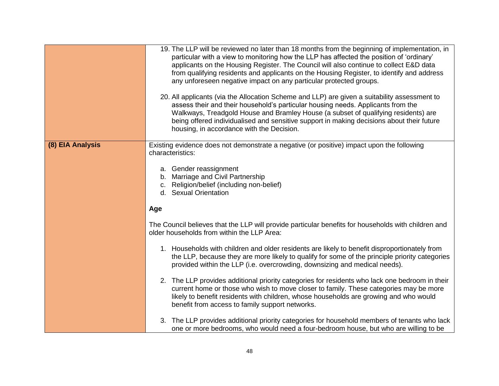|                  | 19. The LLP will be reviewed no later than 18 months from the beginning of implementation, in<br>particular with a view to monitoring how the LLP has affected the position of 'ordinary'<br>applicants on the Housing Register. The Council will also continue to collect E&D data<br>from qualifying residents and applicants on the Housing Register, to identify and address<br>any unforeseen negative impact on any particular protected groups.<br>20. All applicants (via the Allocation Scheme and LLP) are given a suitability assessment to<br>assess their and their household's particular housing needs. Applicants from the<br>Walkways, Treadgold House and Bramley House (a subset of qualifying residents) are<br>being offered individualised and sensitive support in making decisions about their future<br>housing, in accordance with the Decision.                                                                                        |
|------------------|-------------------------------------------------------------------------------------------------------------------------------------------------------------------------------------------------------------------------------------------------------------------------------------------------------------------------------------------------------------------------------------------------------------------------------------------------------------------------------------------------------------------------------------------------------------------------------------------------------------------------------------------------------------------------------------------------------------------------------------------------------------------------------------------------------------------------------------------------------------------------------------------------------------------------------------------------------------------|
| (8) EIA Analysis | Existing evidence does not demonstrate a negative (or positive) impact upon the following<br>characteristics:<br>a. Gender reassignment<br>b. Marriage and Civil Partnership<br>c. Religion/belief (including non-belief)<br>d. Sexual Orientation<br>Age                                                                                                                                                                                                                                                                                                                                                                                                                                                                                                                                                                                                                                                                                                         |
|                  | The Council believes that the LLP will provide particular benefits for households with children and<br>older households from within the LLP Area:<br>1. Households with children and older residents are likely to benefit disproportionately from<br>the LLP, because they are more likely to qualify for some of the principle priority categories<br>provided within the LLP (i.e. overcrowding, downsizing and medical needs).<br>2. The LLP provides additional priority categories for residents who lack one bedroom in their<br>current home or those who wish to move closer to family. These categories may be more<br>likely to benefit residents with children, whose households are growing and who would<br>benefit from access to family support networks.<br>3. The LLP provides additional priority categories for household members of tenants who lack<br>one or more bedrooms, who would need a four-bedroom house, but who are willing to be |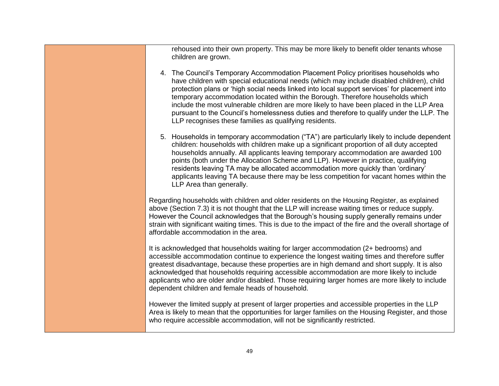| rehoused into their own property. This may be more likely to benefit older tenants whose<br>children are grown.                                                                                                                                                                                                                                                                                                                                                                                                                                                                                                         |
|-------------------------------------------------------------------------------------------------------------------------------------------------------------------------------------------------------------------------------------------------------------------------------------------------------------------------------------------------------------------------------------------------------------------------------------------------------------------------------------------------------------------------------------------------------------------------------------------------------------------------|
| 4. The Council's Temporary Accommodation Placement Policy prioritises households who<br>have children with special educational needs (which may include disabled children), child<br>protection plans or 'high social needs linked into local support services' for placement into<br>temporary accommodation located within the Borough. Therefore households which<br>include the most vulnerable children are more likely to have been placed in the LLP Area<br>pursuant to the Council's homelessness duties and therefore to qualify under the LLP. The<br>LLP recognises these families as qualifying residents. |
| 5. Households in temporary accommodation ("TA") are particularly likely to include dependent<br>children: households with children make up a significant proportion of all duty accepted<br>households annually. All applicants leaving temporary accommodation are awarded 100<br>points (both under the Allocation Scheme and LLP). However in practice, qualifying<br>residents leaving TA may be allocated accommodation more quickly than 'ordinary'<br>applicants leaving TA because there may be less competition for vacant homes within the<br>LLP Area than generally.                                        |
| Regarding households with children and older residents on the Housing Register, as explained<br>above (Section 7.3) it is not thought that the LLP will increase waiting times or reduce supply.<br>However the Council acknowledges that the Borough's housing supply generally remains under<br>strain with significant waiting times. This is due to the impact of the fire and the overall shortage of<br>affordable accommodation in the area.                                                                                                                                                                     |
| It is acknowledged that households waiting for larger accommodation (2+ bedrooms) and<br>accessible accommodation continue to experience the longest waiting times and therefore suffer<br>greatest disadvantage, because these properties are in high demand and short supply. It is also<br>acknowledged that households requiring accessible accommodation are more likely to include<br>applicants who are older and/or disabled. Those requiring larger homes are more likely to include<br>dependent children and female heads of household.                                                                      |
| However the limited supply at present of larger properties and accessible properties in the LLP<br>Area is likely to mean that the opportunities for larger families on the Housing Register, and those<br>who require accessible accommodation, will not be significantly restricted.                                                                                                                                                                                                                                                                                                                                  |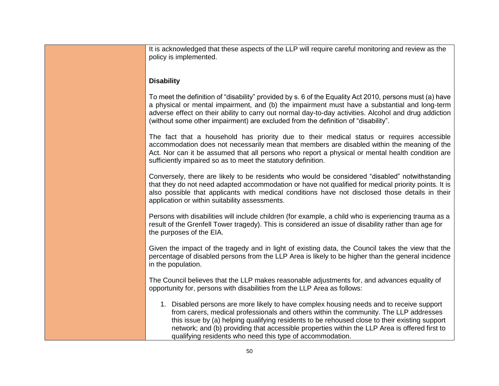| It is acknowledged that these aspects of the LLP will require careful monitoring and review as the<br>policy is implemented.                                                                                                                                                                                                                                                                                                                     |
|--------------------------------------------------------------------------------------------------------------------------------------------------------------------------------------------------------------------------------------------------------------------------------------------------------------------------------------------------------------------------------------------------------------------------------------------------|
| <b>Disability</b>                                                                                                                                                                                                                                                                                                                                                                                                                                |
| To meet the definition of "disability" provided by s. 6 of the Equality Act 2010, persons must (a) have<br>a physical or mental impairment, and (b) the impairment must have a substantial and long-term<br>adverse effect on their ability to carry out normal day-to-day activities. Alcohol and drug addiction<br>(without some other impairment) are excluded from the definition of "disability".                                           |
| The fact that a household has priority due to their medical status or requires accessible<br>accommodation does not necessarily mean that members are disabled within the meaning of the<br>Act. Nor can it be assumed that all persons who report a physical or mental health condition are<br>sufficiently impaired so as to meet the statutory definition.                                                                                    |
| Conversely, there are likely to be residents who would be considered "disabled" notwithstanding<br>that they do not need adapted accommodation or have not qualified for medical priority points. It is<br>also possible that applicants with medical conditions have not disclosed those details in their<br>application or within suitability assessments.                                                                                     |
| Persons with disabilities will include children (for example, a child who is experiencing trauma as a<br>result of the Grenfell Tower tragedy). This is considered an issue of disability rather than age for<br>the purposes of the EIA.                                                                                                                                                                                                        |
| Given the impact of the tragedy and in light of existing data, the Council takes the view that the<br>percentage of disabled persons from the LLP Area is likely to be higher than the general incidence<br>in the population.                                                                                                                                                                                                                   |
| The Council believes that the LLP makes reasonable adjustments for, and advances equality of<br>opportunity for, persons with disabilities from the LLP Area as follows:                                                                                                                                                                                                                                                                         |
| 1. Disabled persons are more likely to have complex housing needs and to receive support<br>from carers, medical professionals and others within the community. The LLP addresses<br>this issue by (a) helping qualifying residents to be rehoused close to their existing support<br>network; and (b) providing that accessible properties within the LLP Area is offered first to<br>qualifying residents who need this type of accommodation. |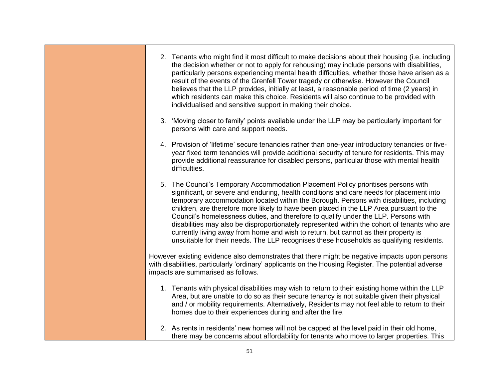| 2. Tenants who might find it most difficult to make decisions about their housing (i.e. including<br>the decision whether or not to apply for rehousing) may include persons with disabilities,<br>particularly persons experiencing mental health difficulties, whether those have arisen as a<br>result of the events of the Grenfell Tower tragedy or otherwise. However the Council<br>believes that the LLP provides, initially at least, a reasonable period of time (2 years) in<br>which residents can make this choice. Residents will also continue to be provided with<br>individualised and sensitive support in making their choice.                                                                                               |
|-------------------------------------------------------------------------------------------------------------------------------------------------------------------------------------------------------------------------------------------------------------------------------------------------------------------------------------------------------------------------------------------------------------------------------------------------------------------------------------------------------------------------------------------------------------------------------------------------------------------------------------------------------------------------------------------------------------------------------------------------|
| 3. 'Moving closer to family' points available under the LLP may be particularly important for<br>persons with care and support needs.                                                                                                                                                                                                                                                                                                                                                                                                                                                                                                                                                                                                           |
| 4. Provision of 'lifetime' secure tenancies rather than one-year introductory tenancies or five-<br>year fixed term tenancies will provide additional security of tenure for residents. This may<br>provide additional reassurance for disabled persons, particular those with mental health<br>difficulties.                                                                                                                                                                                                                                                                                                                                                                                                                                   |
| 5. The Council's Temporary Accommodation Placement Policy prioritises persons with<br>significant, or severe and enduring, health conditions and care needs for placement into<br>temporary accommodation located within the Borough. Persons with disabilities, including<br>children, are therefore more likely to have been placed in the LLP Area pursuant to the<br>Council's homelessness duties, and therefore to qualify under the LLP. Persons with<br>disabilities may also be disproportionately represented within the cohort of tenants who are<br>currently living away from home and wish to return, but cannot as their property is<br>unsuitable for their needs. The LLP recognises these households as qualifying residents. |
| However existing evidence also demonstrates that there might be negative impacts upon persons<br>with disabilities, particularly 'ordinary' applicants on the Housing Register. The potential adverse<br>impacts are summarised as follows.                                                                                                                                                                                                                                                                                                                                                                                                                                                                                                     |
| 1. Tenants with physical disabilities may wish to return to their existing home within the LLP<br>Area, but are unable to do so as their secure tenancy is not suitable given their physical<br>and / or mobility requirements. Alternatively, Residents may not feel able to return to their<br>homes due to their experiences during and after the fire.                                                                                                                                                                                                                                                                                                                                                                                      |
| 2. As rents in residents' new homes will not be capped at the level paid in their old home,<br>there may be concerns about affordability for tenants who move to larger properties. This                                                                                                                                                                                                                                                                                                                                                                                                                                                                                                                                                        |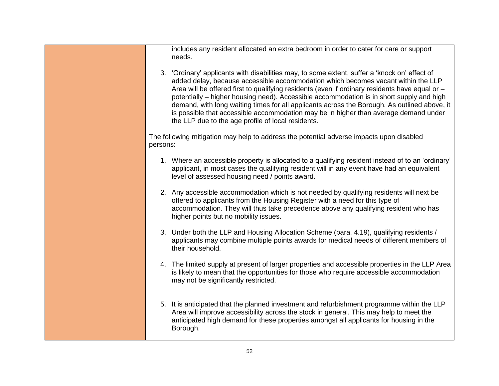includes any resident allocated an extra bedroom in order to cater for care or support needs. 3. 'Ordinary' applicants with disabilities may, to some extent, suffer a 'knock on' effect of added delay, because accessible accommodation which becomes vacant within the LLP Area will be offered first to qualifying residents (even if ordinary residents have equal or – potentially – higher housing need). Accessible accommodation is in short supply and high demand, with long waiting times for all applicants across the Borough. As outlined above, it is possible that accessible accommodation may be in higher than average demand under the LLP due to the age profile of local residents. The following mitigation may help to address the potential adverse impacts upon disabled persons: 1. Where an accessible property is allocated to a qualifying resident instead of to an 'ordinary' applicant, in most cases the qualifying resident will in any event have had an equivalent level of assessed housing need / points award. 2. Any accessible accommodation which is not needed by qualifying residents will next be offered to applicants from the Housing Register with a need for this type of accommodation. They will thus take precedence above any qualifying resident who has higher points but no mobility issues. 3. Under both the LLP and Housing Allocation Scheme (para. 4.19), qualifying residents / applicants may combine multiple points awards for medical needs of different members of their household. 4. The limited supply at present of larger properties and accessible properties in the LLP Area is likely to mean that the opportunities for those who require accessible accommodation may not be significantly restricted. 5. It is anticipated that the planned investment and refurbishment programme within the LLP Area will improve accessibility across the stock in general. This may help to meet the anticipated high demand for these properties amongst all applicants for housing in the Borough.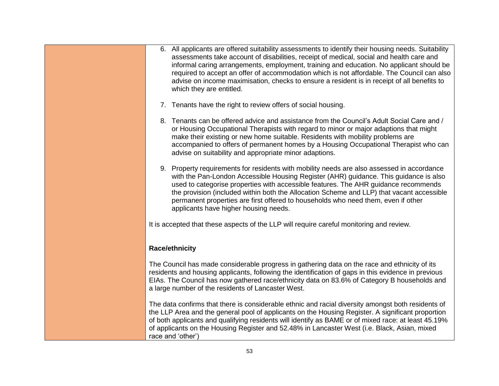| 6. All applicants are offered suitability assessments to identify their housing needs. Suitability<br>assessments take account of disabilities, receipt of medical, social and health care and<br>informal caring arrangements, employment, training and education. No applicant should be<br>required to accept an offer of accommodation which is not affordable. The Council can also<br>advise on income maximisation, checks to ensure a resident is in receipt of all benefits to<br>which they are entitled. |
|---------------------------------------------------------------------------------------------------------------------------------------------------------------------------------------------------------------------------------------------------------------------------------------------------------------------------------------------------------------------------------------------------------------------------------------------------------------------------------------------------------------------|
| 7. Tenants have the right to review offers of social housing.                                                                                                                                                                                                                                                                                                                                                                                                                                                       |
| 8. Tenants can be offered advice and assistance from the Council's Adult Social Care and /<br>or Housing Occupational Therapists with regard to minor or major adaptions that might<br>make their existing or new home suitable. Residents with mobility problems are<br>accompanied to offers of permanent homes by a Housing Occupational Therapist who can<br>advise on suitability and appropriate minor adaptions.                                                                                             |
| 9. Property requirements for residents with mobility needs are also assessed in accordance<br>with the Pan-London Accessible Housing Register (AHR) guidance. This guidance is also<br>used to categorise properties with accessible features. The AHR guidance recommends<br>the provision (included within both the Allocation Scheme and LLP) that vacant accessible<br>permanent properties are first offered to households who need them, even if other<br>applicants have higher housing needs.               |
| It is accepted that these aspects of the LLP will require careful monitoring and review.                                                                                                                                                                                                                                                                                                                                                                                                                            |
| <b>Race/ethnicity</b>                                                                                                                                                                                                                                                                                                                                                                                                                                                                                               |
| The Council has made considerable progress in gathering data on the race and ethnicity of its<br>residents and housing applicants, following the identification of gaps in this evidence in previous<br>EIAs. The Council has now gathered race/ethnicity data on 83.6% of Category B households and<br>a large number of the residents of Lancaster West.                                                                                                                                                          |
| The data confirms that there is considerable ethnic and racial diversity amongst both residents of<br>the LLP Area and the general pool of applicants on the Housing Register. A significant proportion<br>of both applicants and qualifying residents will identify as BAME or of mixed race: at least 45.19%<br>of applicants on the Housing Register and 52.48% in Lancaster West (i.e. Black, Asian, mixed<br>race and 'other')                                                                                 |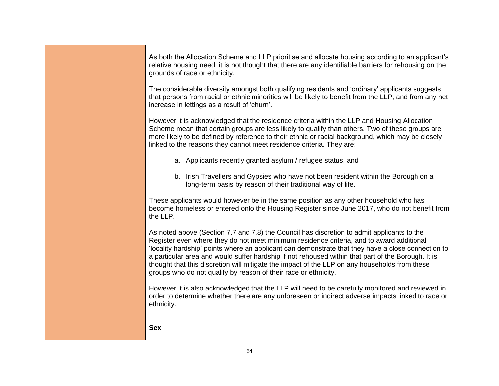| As both the Allocation Scheme and LLP prioritise and allocate housing according to an applicant's<br>relative housing need, it is not thought that there are any identifiable barriers for rehousing on the<br>grounds of race or ethnicity.                                                                                                                                                                                                                                                                                                                           |
|------------------------------------------------------------------------------------------------------------------------------------------------------------------------------------------------------------------------------------------------------------------------------------------------------------------------------------------------------------------------------------------------------------------------------------------------------------------------------------------------------------------------------------------------------------------------|
| The considerable diversity amongst both qualifying residents and 'ordinary' applicants suggests<br>that persons from racial or ethnic minorities will be likely to benefit from the LLP, and from any net<br>increase in lettings as a result of 'churn'.                                                                                                                                                                                                                                                                                                              |
| However it is acknowledged that the residence criteria within the LLP and Housing Allocation<br>Scheme mean that certain groups are less likely to qualify than others. Two of these groups are<br>more likely to be defined by reference to their ethnic or racial background, which may be closely<br>linked to the reasons they cannot meet residence criteria. They are:                                                                                                                                                                                           |
| a. Applicants recently granted asylum / refugee status, and                                                                                                                                                                                                                                                                                                                                                                                                                                                                                                            |
| b. Irish Travellers and Gypsies who have not been resident within the Borough on a<br>long-term basis by reason of their traditional way of life.                                                                                                                                                                                                                                                                                                                                                                                                                      |
| These applicants would however be in the same position as any other household who has<br>become homeless or entered onto the Housing Register since June 2017, who do not benefit from<br>the LLP.                                                                                                                                                                                                                                                                                                                                                                     |
| As noted above (Section 7.7 and 7.8) the Council has discretion to admit applicants to the<br>Register even where they do not meet minimum residence criteria, and to award additional<br>'locality hardship' points where an applicant can demonstrate that they have a close connection to<br>a particular area and would suffer hardship if not rehoused within that part of the Borough. It is<br>thought that this discretion will mitigate the impact of the LLP on any households from these<br>groups who do not qualify by reason of their race or ethnicity. |
| However it is also acknowledged that the LLP will need to be carefully monitored and reviewed in<br>order to determine whether there are any unforeseen or indirect adverse impacts linked to race or<br>ethnicity.                                                                                                                                                                                                                                                                                                                                                    |
| <b>Sex</b>                                                                                                                                                                                                                                                                                                                                                                                                                                                                                                                                                             |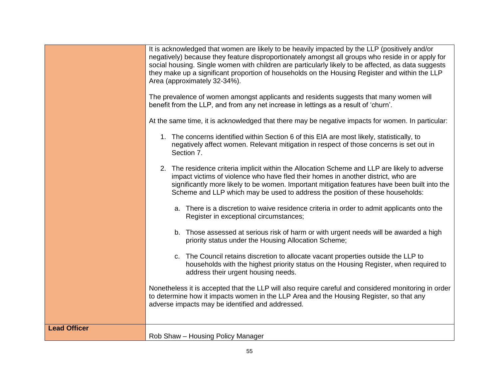|                     | It is acknowledged that women are likely to be heavily impacted by the LLP (positively and/or<br>negatively) because they feature disproportionately amongst all groups who reside in or apply for<br>social housing. Single women with children are particularly likely to be affected, as data suggests<br>they make up a significant proportion of households on the Housing Register and within the LLP<br>Area (approximately 32-34%). |
|---------------------|---------------------------------------------------------------------------------------------------------------------------------------------------------------------------------------------------------------------------------------------------------------------------------------------------------------------------------------------------------------------------------------------------------------------------------------------|
|                     | The prevalence of women amongst applicants and residents suggests that many women will<br>benefit from the LLP, and from any net increase in lettings as a result of 'churn'.                                                                                                                                                                                                                                                               |
|                     | At the same time, it is acknowledged that there may be negative impacts for women. In particular:                                                                                                                                                                                                                                                                                                                                           |
|                     | 1. The concerns identified within Section 6 of this EIA are most likely, statistically, to<br>negatively affect women. Relevant mitigation in respect of those concerns is set out in<br>Section 7.                                                                                                                                                                                                                                         |
|                     | 2. The residence criteria implicit within the Allocation Scheme and LLP are likely to adverse<br>impact victims of violence who have fled their homes in another district, who are<br>significantly more likely to be women. Important mitigation features have been built into the<br>Scheme and LLP which may be used to address the position of these households:                                                                        |
|                     | a. There is a discretion to waive residence criteria in order to admit applicants onto the<br>Register in exceptional circumstances;                                                                                                                                                                                                                                                                                                        |
|                     | b. Those assessed at serious risk of harm or with urgent needs will be awarded a high<br>priority status under the Housing Allocation Scheme;                                                                                                                                                                                                                                                                                               |
|                     | c. The Council retains discretion to allocate vacant properties outside the LLP to<br>households with the highest priority status on the Housing Register, when required to<br>address their urgent housing needs.                                                                                                                                                                                                                          |
|                     | Nonetheless it is accepted that the LLP will also require careful and considered monitoring in order<br>to determine how it impacts women in the LLP Area and the Housing Register, so that any<br>adverse impacts may be identified and addressed.                                                                                                                                                                                         |
| <b>Lead Officer</b> | Rob Shaw - Housing Policy Manager                                                                                                                                                                                                                                                                                                                                                                                                           |